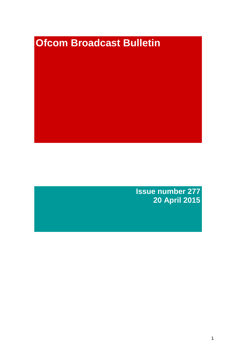# **Ofcom Broadcast Bulletin**

**Issue number 277 20 April 2015**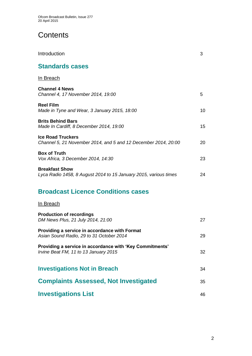# **Contents**

| Introduction                                                                               | 3  |
|--------------------------------------------------------------------------------------------|----|
| <b>Standards cases</b>                                                                     |    |
| <u>In Breach</u>                                                                           |    |
| <b>Channel 4 News</b><br>Channel 4, 17 November 2014, 19:00                                | 5  |
| <b>Reel Film</b><br>Made in Tyne and Wear, 3 January 2015, 18:00                           | 10 |
| <b>Brits Behind Bars</b><br>Made In Cardiff, 8 December 2014, 19:00                        | 15 |
| <b>Ice Road Truckers</b><br>Channel 5, 21 November 2014, and 5 and 12 December 2014, 20:00 | 20 |
| <b>Box of Truth</b><br>Vox Africa, 3 December 2014, 14:30                                  | 23 |
| <b>Breakfast Show</b><br>Lyca Radio 1458, 8 August 2014 to 15 January 2015, various times  | 24 |
| <b>Broadcast Licence Conditions cases</b>                                                  |    |
| In Breach                                                                                  |    |

| <b>Production of recordings</b><br>DM News Plus, 21 July 2014, 21:00                              | 27 |
|---------------------------------------------------------------------------------------------------|----|
| Providing a service in accordance with Format<br>Asian Sound Radio, 29 to 31 October 2014         | 29 |
| Providing a service in accordance with 'Key Commitments'<br>Irvine Beat FM, 11 to 13 January 2015 | 32 |
| <b>Investigations Not in Breach</b>                                                               | 34 |
| <b>Complaints Assessed, Not Investigated</b>                                                      | 35 |
| <b>Investigations List</b>                                                                        | 46 |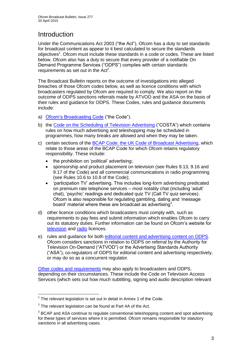# **Introduction**

Under the Communications Act 2003 ("the Act"), Ofcom has a duty to set standards for broadcast content as appear to it best calculated to secure the standards objectives<sup>1</sup>. Ofcom must include these standards in a code or codes. These are listed below. Ofcom also has a duty to secure that every provider of a notifiable On Demand Programme Services ("ODPS") complies with certain standards requirements as set out in the  $Act<sup>2</sup>$ .

The Broadcast Bulletin reports on the outcome of investigations into alleged breaches of those Ofcom codes below, as well as licence conditions with which broadcasters regulated by Ofcom are required to comply. We also report on the outcome of ODPS sanctions referrals made by ATVOD and the ASA on the basis of their rules and guidance for ODPS. These Codes, rules and guidance documents include:

- a) [Ofcom's Broadcasting Code](http://stakeholders.ofcom.org.uk/broadcasting/broadcast-codes/broadcast-code/) ("the Code").
- b) the [Code on the Scheduling of Television Advertising](http://stakeholders.ofcom.org.uk/broadcasting/broadcast-codes/advert-code/) ("COSTA") which contains rules on how much advertising and teleshopping may be scheduled in programmes, how many breaks are allowed and when they may be taken.
- c) certain sections of the [BCAP Code: the UK Code of](http://www.bcap.org.uk/Advertising-Codes/Broadcast-HTML.aspx) Broadcast Advertising, which relate to those areas of the BCAP Code for which Ofcom retains regulatory responsibility. These include:
	- the prohibition on 'political' advertising:
	- sponsorship and product placement on television (see Rules 9.13, 9.16 and 9.17 of the Code) and all commercial communications in radio programming (see Rules 10.6 to 10.8 of the Code);
	- 'participation TV' advertising. This includes long-form advertising predicated on premium rate telephone services – most notably chat (including 'adult' chat), 'psychic' readings and dedicated quiz TV (Call TV quiz services). Ofcom is also responsible for regulating gambling, dating and 'message board' material where these are broadcast as advertising<sup>3</sup>.
- d) other licence conditions which broadcasters must comply with, such as requirements to pay fees and submit information which enables Ofcom to carry out its statutory duties. Further information can be found on Ofcom's website for [television](http://licensing.ofcom.org.uk/tv-broadcast-licences/) and [radio](http://licensing.ofcom.org.uk/radio-broadcast-licensing/) licences.
- e) rules and guidance for both [editorial content and advertising content on ODPS.](http://www.atvod.co.uk/uploads/files/ATVOD_Rules_and_Guidance_Ed_2.0_May_2012.pdf) Ofcom considers sanctions in relation to ODPS on referral by the Authority for Television On-Demand ("ATVOD") or the Advertising Standards Authority ("ASA"), co-regulators of ODPS for editorial content and advertising respectively, or may do so as a concurrent regulator.

[Other codes and requirements](http://stakeholders.ofcom.org.uk/broadcasting/broadcast-codes/) may also apply to broadcasters and ODPS, depending on their circumstances. These include the Code on Television Access Services (which sets out how much subtitling, signing and audio description relevant

<sup>1</sup>  $1$  The relevant legislation is set out in detail in Annex 1 of the Code.

 $2$  The relevant legislation can be found at Part 4A of the Act.

 $3$  BCAP and ASA continue to regulate conventional teleshopping content and spot advertising for these types of services where it is permitted. Ofcom remains responsible for statutory sanctions in all advertising cases.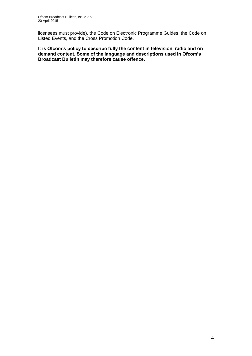licensees must provide), the Code on Electronic Programme Guides, the Code on Listed Events, and the Cross Promotion Code.

**It is Ofcom's policy to describe fully the content in television, radio and on demand content. Some of the language and descriptions used in Ofcom's Broadcast Bulletin may therefore cause offence.**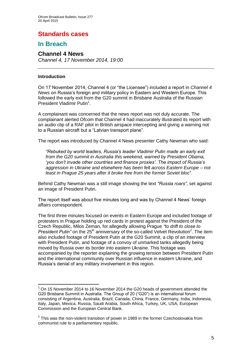# **Standards cases**

# **In Breach**

# **Channel 4 News** *Channel 4, 17 November 2014, 19:00*

# **Introduction**

1

On 17 November 2014, Channel 4 (or "the Licensee") included a report in *Channel 4 News* on Russia's foreign and military policy in Eastern and Western Europe. This followed the early exit from the G20 summit in Brisbane Australia of the Russian President Vladimir Putin<sup>1</sup>.

A complainant was concerned that the news report was not duly accurate. The complainant alerted Ofcom that Channel 4 had inaccurately illustrated its report with an audio clip of a RAF pilot in British airspace intercepting and giving a warning not to a Russian aircraft but a "Latvian transport plane".

The report was introduced by Channel 4 News presenter Cathy Newman who said:

*"Rebuked by world leaders, Russia's leader Vladimir Putin made an early exit from the G20 summit in Australia this weekend, warned by President Obama, 'you don't invade other countries and finance proxies'. The impact of Russia's aggression in Ukraine and elsewhere has been felt across Eastern Europe – not least in Prague 25 years after it broke free from the former Soviet bloc*".

Behind Cathy Newman was a still image showing the text *"Russia roars"*, set against an image of President Putin.

The report itself was about five minutes long and was by Channel 4 News' foreign affairs correspondent.

The first three minutes focused on events in Eastern Europe and included footage of protesters in Prague holding up red cards in protest against the President of the Czech Republic, Milos Zeman, for allegedly allowing Prague *"to drift to close to*  President Putin" on the 25<sup>th</sup> anniversary of the so-called Velvet Revolution<sup>2</sup>. The item also included footage of President Putin at the G20 Summit, a clip of an interview with President Putin, and footage of a convoy of unmarked tanks allegedly being moved by Russia over its border into eastern Ukraine. This footage was accompanied by the reporter explaining the growing tension between President Putin and the international community over Russian influence in eastern Ukraine, and Russia's denial of any military involvement in this region.

<sup>1</sup> On 15 November 2014 to 16 November 2014 the G20 heads of government attended the G20 Brisbane Summit in Australia. The Group of 20 ("G20") is an international forum consisting of Argentina, Australia, Brazil, Canada, China, France, Germany, India, Indonesia, Italy, Japan, Mexica, Russia, Saudi Arabia, South Africa, Turkey, UK, USA, European Commission and the European Central Bank.

 $2$  This was the non-violent transition of power in 1989 in the former Czechoslovakia from communist rule to a parliamentary republic.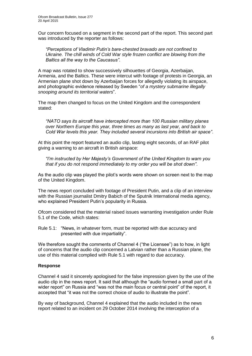Our concern focused on a segment in the second part of the report. This second part was introduced by the reporter as follows:

*"Perceptions of Vladimir Putin's bare-chested bravado are not confined to Ukraine. The chill winds of Cold War style frozen conflict are blowing from the Baltics all the way to the Caucasus"*.

A map was rotated to show successively silhouettes of Georgia, Azerbaijan, Armenia, and the Baltics. These were intercut with footage of protests in Georgia, an Armenian plane shot down by Azerbaijan forces for allegedly violating its airspace, and photographic evidence released by Sweden "*of a mystery submarine illegally snooping around its territorial waters*".

The map then changed to focus on the United Kingdom and the correspondent stated:

*"NATO says its aircraft have intercepted more than 100 Russian military planes over Northern Europe this year, three times as many as last year, and back to Cold War levels this year. They included several incursions into British air space"*.

At this point the report featured an audio clip, lasting eight seconds, of an RAF pilot giving a warning to an aircraft in British airspace:

*"I'm instructed by Her Majesty's Government of the United Kingdom to warn you that if you do not respond immediately to my order you will be shot down"*.

As the audio clip was played the pilot's words were shown on screen next to the map of the United Kingdom.

The news report concluded with footage of President Putin, and a clip of an interview with the Russian journalist Dmitry Babich of the Sputnik International media agency, who explained President Putin's popularity in Russia.

Ofcom considered that the material raised issues warranting investigation under Rule 5.1 of the Code, which states:

Rule 5.1: "News, in whatever form, must be reported with due accuracy and presented with due impartiality".

We therefore sought the comments of Channel 4 ("the Licensee") as to how, in light of concerns that the audio clip concerned a Latvian rather than a Russian plane, the use of this material complied with Rule 5.1 with regard to due accuracy.

# **Response**

Channel 4 said it sincerely apologised for the false impression given by the use of the audio clip in the news report. It said that although the "audio formed a small part of a wider report" on Russia and "was not the main focus or central point" of the report, it accepted that "it was not the correct choice of audio to illustrate the point".

By way of background, Channel 4 explained that the audio included in the news report related to an incident on 29 October 2014 involving the interception of a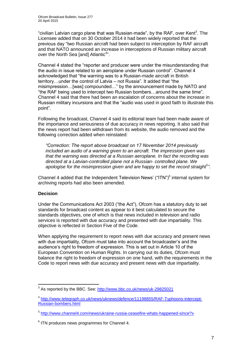"civilian Latvian cargo plane that was Russian-made", by the RAF, over Kent<sup>3</sup>. The Licensee added that on 30 October 2014 it had been widely reported that the previous day "two Russian aircraft had been subject to interception by RAF aircraft and that NATO announced an increase in interceptions of Russian military aircraft over the North Sea [and] Atlantic<sup>4</sup>".

Channel 4 stated the "reporter and producer were under the misunderstanding that the audio in issue related to an aeroplane under Russian control". Channel 4 acknowledged that "the warning was to a Russian-made aircraft in British territory…under the control of Latvia – not Russia". It added that "the misimpression…[was] compounded…" by the announcement made by NATO and "the RAF being used to intercept two Russian bombers…around the same time". Channel 4 said that there had been an escalation of concerns about the increase in Russian military incursions and that the "audio was used in good faith to illustrate this point".

Following the broadcast, Channel 4 said its editorial team had been made aware of the importance and seriousness of due accuracy in news reporting. It also said that the news report had been withdrawn from its website, the audio removed and the following correction added when reinstated:

*"Correction: The report above broadcast on 17 November 2014 previously included an audio of a warning given to an aircraft. The impression given was that the warning was directed at a Russian aeroplane. In fact the recording was directed at a Latvian-controlled plane not a Russian- controlled plane. We apologise for the misimpression given and are happy to set the record straight<sup>5</sup> "*.

Channel 4 added that the Independent Television News' ("ITN") $^6$  internal system for archiving reports had also been amended.

# **Decision**

Under the Communications Act 2003 ("the Act"), Ofcom has a statutory duty to set standards for broadcast content as appear to it best calculated to secure the standards objectives, one of which is that news included in television and radio services is reported with due accuracy and presented with due impartiality. This objective is reflected in Section Five of the Code.

When applying the requirement to report news with due accuracy and present news with due impartiality, Ofcom must take into account the broadcaster's and the audience's right to freedom of expression. This is set out in Article 10 of the European Convention on Human Rights. In carrying out its duties, Ofcom must balance the right to freedom of expression on one hand, with the requirements in the Code to report news with due accuracy and present news with due impartiality.

<sup>1</sup> <sup>3</sup> As reported by the BBC. See:<http://www.bbc.co.uk/news/uk-29825021>

<sup>&</sup>lt;sup>4</sup> [http://www.telegraph.co.uk/news/uknews/defence/11198855/RAF-Typhoons-intercept-](http://www.telegraph.co.uk/news/uknews/defence/11198855/RAF-Typhoons-intercept-Russian-bombers.html)[Russian-bombers.html](http://www.telegraph.co.uk/news/uknews/defence/11198855/RAF-Typhoons-intercept-Russian-bombers.html)

<sup>&</sup>lt;sup>5</sup> <http://www.channel4.com/news/ukraine-russia-ceasefire-whats-happened-since?x>

 $6$  ITN produces news programmes for Channel 4.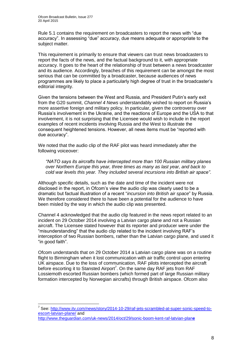Rule 5.1 contains the requirement on broadcasters to report the news with "due accuracy". In assessing "due" accuracy, due means adequate or appropriate to the subject matter.

This requirement is primarily to ensure that viewers can trust news broadcasters to report the facts of the news, and the factual background to it, with appropriate accuracy. It goes to the heart of the relationship of trust between a news broadcaster and its audience. Accordingly, breaches of this requirement can be amongst the most serious that can be committed by a broadcaster, because audiences of news programmes are likely to place a particularly high degree of trust in the broadcaster's editorial integrity.

Given the tensions between the West and Russia, and President Putin's early exit from the G20 summit, *Channel 4 News* understandably wished to report on Russia's more assertive foreign and military policy. In particular, given the controversy over Russia's involvement in the Ukraine, and the reactions of Europe and the USA to that involvement, it is not surprising that the Licensee would wish to include in the report examples of recent incidents involving Russia and the West to illustrate the consequent heightened tensions. However, all news items must be "reported with due accuracy".

We noted that the audio clip of the RAF pilot was heard immediately after the following voiceover:

*"NATO says its aircrafts have intercepted more than 100 Russian military planes over Northern Europe this year, three times as many as last year, and back to cold war levels this year. They included several incursions into British air space"*.

Although specific details, such as the date and time of the incident were not disclosed in the report, in Ofcom's view the audio clip was clearly used to be a dramatic but factual illustration of a recent "*incursion into British air space*" by Russia. We therefore considered there to have been a potential for the audience to have been misled by the way in which the audio clip was presented.

Channel 4 acknowledged that the audio clip featured in the news report related to an incident on 29 October 2014 involving a Latvian cargo plane and not a Russian aircraft. The Licensee stated however that its reporter and producer were under the "misunderstanding" that the audio clip related to the incident involving RAF's interception of two Russian bombers, rather than the Latvian cargo plane, and used it "in good faith".

Ofcom understands that on 29 October 2014 a Latvian cargo plane was on a routine flight to Birmingham when it lost communication with air traffic control upon entering UK airspace. Due to the loss of communication, RAF pilots intercepted the aircraft before escorting it to Stansted Airport<sup>7</sup>. On the same day RAF jets from RAF Lossiemoth escorted Russian bombers (which formed part of large Russian military formation intercepted by Norwegian aircrafts) through British airspace. Ofcom also

1

<sup>&</sup>lt;sup>7</sup> See: [http://www.itv.com/news/story/2014-10-29/raf-jets-scrambled-at-super-sonic-speed-to](http://www.itv.com/news/story/2014-10-29/raf-jets-scrambled-at-super-sonic-speed-to-escort-latvian-plane/)[escort-latvian-plane/](http://www.itv.com/news/story/2014-10-29/raf-jets-scrambled-at-super-sonic-speed-to-escort-latvian-plane/) and

[http://www.theguardian.com/uk-news/2014/oct/29/sonic-boom-kent-raf-latvian-plan](http://www.theguardian.com/uk-news/2014/oct/29/sonic-boom-kent-raf-latvian-plane)**e**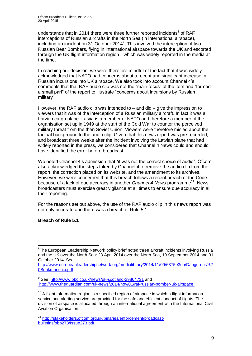understands that in 2014 there were three further reported incidents $8$  of RAF interceptions of Russian aircrafts in the North Sea (in international airspace), including an incident on 31 October 2014 $<sup>9</sup>$ . This involved the interception of two</sup> Russian Bear Bombers, flying in international airspace towards the UK and escorted through the UK flight information region<sup>10</sup> which was widely reported in the media at the time.

In reaching our decision, we were therefore mindful of the fact that it was widely acknowledged that NATO had concerns about a recent and significant increase in Russian incursions into UK airspace. We also took into account Channel 4's comments that that RAF audio clip was not the "main focus" of the item and "formed a small part" of the report to illustrate "concerns about incursions by Russian military".

However, the RAF audio clip was intended to – and did – give the impression to viewers that it was of the interception of a Russian military aircraft. In fact it was a Latvian cargo plane. Latvia is a member of NATO and therefore a member of the organisation set up in 1949 at the start of the Cold War to counter the perceived military threat from the then Soviet Union. Viewers were therefore misled about the factual background to the audio clip. Given that this news report was pre-recorded, and broadcast three weeks after the incident involving the Latvian plane that had widely reported in the press, we considered that Channel 4 News could and should have identified the error before broadcast.

We noted Channel 4's admission that "it was not the correct choice of audio". Ofcom also acknowledged the steps taken by Channel 4 to remove the audio clip from the report, the correction placed on its website, and the amendment to its archives. However, we were concerned that this breach follows a recent breach of the Code because of a lack of due accuracy in another *Channel 4 News* programme<sup>11</sup>. News broadcasters must exercise great vigilance at all times to ensure due accuracy in all their reporting.

For the reasons set out above, the use of the RAF audio clip in this news report was not duly accurate and there was a breach of Rule 5.1.

# **Breach of Rule 5.1**

<sup>1</sup> <sup>8</sup>The European Leadership Network policy brief noted three aircraft incidents involving Russia and the UK over the North Sea: 23 April 2014 over the North Sea, 19 September 2014 and 31 October 2014. See:

[http://www.europeanleadershipnetwork.org/medialibrary/2014/11/09/6375e3da/Dangerous%2](http://www.europeanleadershipnetwork.org/medialibrary/2014/11/09/6375e3da/Dangerous%20Brinkmanship.pdf) [0Brinkmanship.pdf](http://www.europeanleadershipnetwork.org/medialibrary/2014/11/09/6375e3da/Dangerous%20Brinkmanship.pdf)

<sup>&</sup>lt;sup>9</sup> See:<http://www.bbc.co.uk/news/uk-scotland-29864731> and <http://www.theguardian.com/uk-news/2014/nov/01/raf-russian-bomber-uk-airspace.>

 $10$  A flight Information region is a specified region of airspace in which a flight information service and alerting service are provided for the safe and efficient conduct of flights. The division of airspace is allocated through an international agreement with the International Civil Aviation Organisation.

<sup>11</sup> [http://stakeholders.ofcom.org.uk/binaries/enforcement/broadcast](http://stakeholders.ofcom.org.uk/binaries/enforcement/broadcast-bulletins/obb273/Issue273.pdf)[bulletins/obb273/Issue273.pdf](http://stakeholders.ofcom.org.uk/binaries/enforcement/broadcast-bulletins/obb273/Issue273.pdf)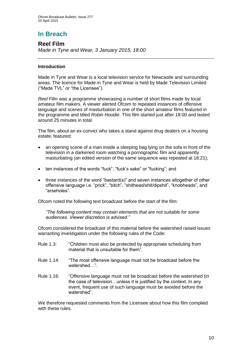# **In Breach**

**Reel Film** *Made in Tyne and Wear, 3 January 2015, 18:00* 

# **Introduction**

Made in Tyne and Wear is a local television service for Newcastle and surrounding areas. The licence for Made in Tyne and Wear is held by Made Television Limited ("Made TVL" or "the Licensee").

*Reel Film* was a programme showcasing a number of short films made by local amateur film makers. A viewer alerted Ofcom to repeated instances of offensive language and scenes of masturbation in one of the short amateur films featured in the programme and titled *Robin Hoodie*. This film started just after 18:00 and lasted around 25 minutes in total.

The film, about an ex-convict who takes a stand against drug dealers on a housing estate, featured:

- an opening scene of a man inside a sleeping bag lying on the sofa in front of the television in a darkened room watching a pornographic film and apparently masturbating (an edited version of the same sequence was repeated at 18:21);
- ten instances of the words "fuck", "fuck's sake" or "fucking"; and
- three instances of the word "bastard(s)" and seven instances altogether of other offensive language i.e. "prick", "bitch", "shithead/shit/dipshit", "knobheads", and "arseholes".

Ofcom noted the following text broadcast before the start of the film:

*"The following content may contain elements that are not suitable for some audiences. Viewer discretion is advised."*

Ofcom considered the broadcast of this material before the watershed raised issues warranting investigation under the following rules of the Code:

- Rule 1.3: "Children must also be protected by appropriate scheduling from material that is unsuitable for them".
- Rule 1.14: "The most offensive language must not be broadcast before the watershed…".
- Rule 1.16: "Offensive language must not be broadcast before the watershed (in the case of television…unless it is justified by the context. In any event, frequent use of such language must be avoided before the watershed".

We therefore requested comments from the Licensee about how this film complied with these rules.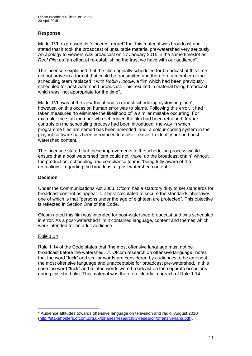# **Response**

Made TVL expressed its "sincerest regret" that this material was broadcast and stated that it took the broadcast of unsuitable material pre-watershed very seriously. An apology to viewers was broadcast on 17 January 2015 in the same timeslot as *Reel Film* as "an effort at re-establishing the trust we have with our audience".

The Licensee explained that the film originally scheduled for broadcast at this time did not arrive in a format that could be transmitted and therefore a member of the scheduling team replaced it with *Robin Hoodie*, a film which had been previously scheduled for post-watershed broadcast. This resulted in material being broadcast which was "not appropriate for the time".

Made TVL was of the view that it had "a robust scheduling system in place", however, on this occasion human error was to blame. Following this error, it had taken measures "to eliminate the likelihood of" a similar mistake occurring. For example: the staff member who scheduled the film had been retrained; further controls on the scheduling process had been introduced; the way in which programme files are named has been amended; and, a colour-coding system in the playout software has been introduced to make it easier to identify pre and post watershed content.

The Licensee stated that these improvements to the scheduling process would ensure that a post watershed item could not "travel up the broadcast chain" without the production, scheduling and compliance teams "being fully aware of the restrictions" regarding the broadcast of post watershed content.

# **Decision**

Under the Communications Act 2003, Ofcom has a statutory duty to set standards for broadcast content as appear to it best calculated to secure the standards objectives, one of which is that "persons under the age of eighteen are protected". This objective is reflected in Section One of the Code.

Ofcom noted this film was intended for post-watershed broadcast and was scheduled in error. As a post-watershed film it contained language, content and themes which were intended for an adult audience.

# Rule 1.14

1

Rule 1.14 of the Code states that "the most offensive language must not be broadcast before the watershed...". Ofcom research on offensive language<sup>1</sup> notes that the word "fuck" and similar words are considered by audiences to be amongst the most offensive language and unacceptable for broadcast pre-watershed. In this case the word "fuck" and related words were broadcast on ten separate occasions during this short film. This material was therefore clearly in breach of Rule 1.14.

 $1$  Audience attitudes towards offensive language on television and radio, August 2010 [\(http://stakeholders.ofcom.org.uk/binaries/research/tv-research/offensive-lang.pdf\)](http://stakeholders.ofcom.org.uk/binaries/research/tv-research/offensive-lang.pdf).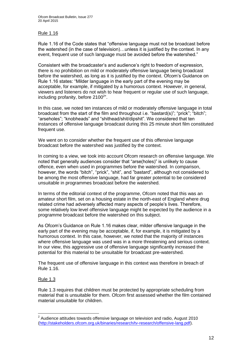# Rule 1.16

Rule 1.16 of the Code states that "offensive language must not be broadcast before the watershed (in the case of television)…unless it is justified by the context. In any event, frequent use of such language must be avoided before the watershed."

Consistent with the broadcaster's and audience's right to freedom of expression, there is no prohibition on mild or moderately offensive language being broadcast before the watershed, as long as it is justified by the context. Ofcom's Guidance on Rule 1.16 states: "Milder language in the early part of the evening may be acceptable, for example, if mitigated by a humorous context. However, in general, viewers and listeners do not wish to hear frequent or regular use of such language, including profanity, before  $2100^{2}$ ".

In this case, we noted ten instances of mild or moderately offensive language in total broadcast from the start of the film and throughout i.e. "bastard(s)"; "prick"; "bitch"; "arseholes"; "knobheads" and "shithead/shit/dipshit". We considered that ten instances of offensive language broadcast during this 25 minute short film constituted frequent use.

We went on to consider whether the frequent use of this offensive language broadcast before the watershed was justified by the context.

In coming to a view, we took into account Ofcom research on offensive language. We noted that generally audiences consider that "arse(holes)" is unlikely to cause offence, even when used in programmes before the watershed. In comparison, however, the words "bitch", "prick", "shit", and "bastard", although not considered to be among the most offensive language, had far greater potential to be considered unsuitable in programmes broadcast before the watershed.

In terms of the editorial context of the programme, Ofcom noted that this was an amateur short film, set on a housing estate in the north-east of England where drug related crime had adversely affected many aspects of people's lives. Therefore, some relatively low level offensive language might be expected by the audience in a programme broadcast before the watershed on this subject.

As Ofcom's Guidance on Rule 1.16 makes clear, milder offensive language in the early part of the evening may be acceptable, if, for example, it is mitigated by a humorous context. In this case, however, we noted that the majority of instances where offensive language was used was in a more threatening and serious context. In our view, this aggressive use of offensive language significantly increased the potential for this material to be unsuitable for broadcast pre-watershed.

The frequent use of offensive language in this context was therefore in breach of Rule 1.16.

# Rule 1.3

Rule 1.3 requires that children must be protected by appropriate scheduling from material that is unsuitable for them. Ofcom first assessed whether the film contained material unsuitable for children.

 2 Audience attitudes towards offensive language on television and radio, August 2010 [\(http://stakeholders.ofcom.org.uk/binaries/research/tv-research/offensive-lang.pdf\)](http://stakeholders.ofcom.org.uk/binaries/research/tv-research/offensive-lang.pdf).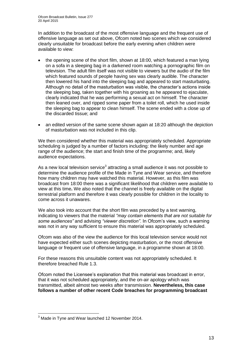In addition to the broadcast of the most offensive language and the frequent use of offensive language as set out above, Ofcom noted two scenes which we considered clearly unsuitable for broadcast before the early evening when children were available to view:

- the opening scene of the short film, shown at 18:00, which featured a man lying on a sofa in a sleeping bag in a darkened room watching a pornographic film on television. The adult film itself was not visible to viewers but the audio of the film which featured sounds of people having sex was clearly audible. The character then lowered his hand into the sleeping bag and appeared to start masturbating. Although no detail of the masturbation was visible, the character's actions inside the sleeping bag, taken together with his groaning as he appeared to ejaculate, clearly indicated that he was performing a sexual act on himself. The character then leaned over, and ripped some paper from a toilet roll, which he used inside the sleeping bag to appear to clean himself. The scene ended with a close up of the discarded tissue; and
- an edited version of the same scene shown again at 18:20 although the depiction of masturbation was not included in this clip.

We then considered whether this material was appropriately scheduled. Appropriate scheduling is judged by a number of factors including: the likely number and age range of the audience; the start and finish time of the programme; and, likely audience expectations.

As a new local television service<sup>3</sup> attracting a small audience it was not possible to determine the audience profile of the Made in Tyne and Wear service, and therefore how many children may have watched this material. However, as this film was broadcast from 18:00 there was a significant likelihood that children were available to view at this time**.** We also noted that the channel is freely available on the digital terrestrial platform and therefore it was clearly possible for children in the locality to come across it unawares.

We also took into account that the short film was preceded by a text warning, indicating to viewers that the material *"may contain elements that are not suitable for some audiences"* and advising *"viewer discretion"*. In Ofcom's view, such a warning was not in any way sufficient to ensure this material was appropriately scheduled.

Ofcom was also of the view the audience for this local television service would not have expected either such scenes depicting masturbation, or the most offensive language or frequent use of offensive language, in a programme shown at 18:00.

For these reasons this unsuitable content was not appropriately scheduled. It therefore breached Rule 1.3.

Ofcom noted the Licensee's explanation that this material was broadcast in error, that it was not scheduled appropriately, and the on-air apology which was transmitted, albeit almost two weeks after transmission. **Nevertheless, this case follows a number of other recent Code breaches for programming broadcast** 

<sup>1</sup> <sup>3</sup> Made in Tyne and Wear launched 12 November 2014.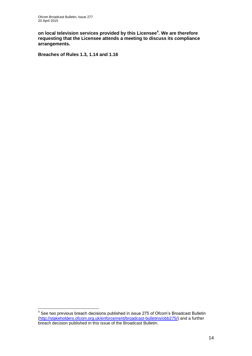**on local television services provided by this Licensee<sup>4</sup> . We are therefore requesting that the Licensee attends a meeting to discuss its compliance arrangements.**

**Breaches of Rules 1.3, 1.14 and 1.16**

 4 See two previous breach decisions published in issue 275 of Ofcom's Broadcast Bulletin [\(http://stakeholders.ofcom.org.uk/enforcement/broadcast-bulletins/obb275/\)](http://stakeholders.ofcom.org.uk/enforcement/broadcast-bulletins/obb275/) and a further breach decision published in this issue of the Broadcast Bulletin.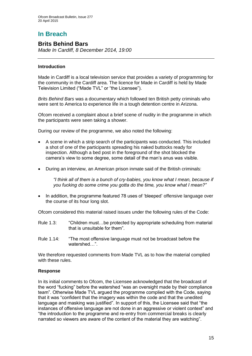# **In Breach**

# **Brits Behind Bars**

*Made In Cardiff, 8 December 2014, 19:00*

# **Introduction**

Made in Cardiff is a local television service that provides a variety of programming for the community in the Cardiff area. The licence for Made in Cardiff is held by Made Television Limited ("Made TVL" or "the Licensee").

*Brits Behind Bars* was a documentary which followed ten British petty criminals who were sent to America to experience life in a tough detention centre in Arizona.

Ofcom received a complaint about a brief scene of nudity in the programme in which the participants were seen taking a shower.

During our review of the programme, we also noted the following:

- A scene in which a strip search of the participants was conducted. This included a shot of one of the participants spreading his naked buttocks ready for inspection. Although a bed post in the foreground of the shot blocked the camera's view to some degree, some detail of the man's anus was visible.
- During an interview, an American prison inmate said of the British criminals:

*"I think all of them is a bunch of cry-babies, you know what I mean, because if you fucking do some crime you gotta do the time, you know what I mean?"*

• In addition, the programme featured 78 uses of 'bleeped' offensive language over the course of its hour long slot.

Ofcom considered this material raised issues under the following rules of the Code:

- Rule 1.3: "Children must…be protected by appropriate scheduling from material that is unsuitable for them".
- Rule 1.14: "The most offensive language must not be broadcast before the watershed "

We therefore requested comments from Made TVL as to how the material complied with these rules.

# **Response**

In its initial comments to Ofcom, the Licensee acknowledged that the broadcast of the word "fucking" before the watershed "was an oversight made by their compliance team". Otherwise Made TVL argued the programme complied with the Code, saying that it was "confident that the imagery was within the code and that the unedited language and masking was justified". In support of this, the Licensee said that "the instances of offensive language are not done in an aggressive or violent context" and "the introduction to the programme and re-entry from commercial breaks is clearly narrated so viewers are aware of the content of the material they are watching".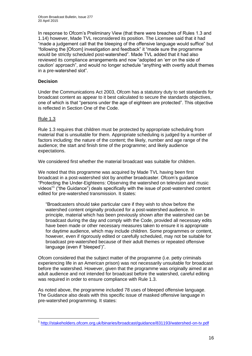In response to Ofcom's Preliminary View (that there were breaches of Rules 1.3 and 1.14) however, Made TVL reconsidered its position. The Licensee said that it had "made a judgement call that the bleeping of the offensive language would suffice" but "following the [Ofcom] investigation and feedback" it "made sure the programme would be strictly scheduled post-watershed". Made TVL added that it had also reviewed its compliance arrangements and now "adopted an 'err on the side of caution' approach", and would no longer schedule "anything with overtly adult themes in a pre-watershed slot".

# **Decision**

Under the Communications Act 2003, Ofcom has a statutory duty to set standards for broadcast content as appear to it best calculated to secure the standards objectives, one of which is that "persons under the age of eighteen are protected". This objective is reflected in Section One of the Code.

# Rule 1.3

Rule 1.3 requires that children must be protected by appropriate scheduling from material that is unsuitable for them. Appropriate scheduling is judged by a number of factors including: the nature of the content; the likely, number and age range of the audience; the start and finish time of the programme; and likely audience expectations.

We considered first whether the material broadcast was suitable for children.

We noted that this programme was acquired by Made TVL having been first broadcast in a post-watershed slot by another broadcaster. Ofcom's guidance "Protecting the Under-Eighteens: Observing the watershed on television and music videos"<sup>1</sup> ("the Guidance") deals specifically with the issue of post-watershed content edited for pre-watershed transmission. It states:

"Broadcasters should take particular care if they wish to show before the watershed content originally produced for a post-watershed audience. In principle, material which has been previously shown after the watershed can be broadcast during the day and comply with the Code, provided all necessary edits have been made or other necessary measures taken to ensure it is appropriate for daytime audience, which may include children. Some programmes or content, however, even if rigorously edited or carefully scheduled, may not be suitable for broadcast pre-watershed because of their adult themes or repeated offensive language (even if 'bleeped')".

Ofcom considered that the subject matter of the programme (i.e. petty criminals experiencing life in an American prison) was not necessarily unsuitable for broadcast before the watershed. However, given that the programme was originally aimed at an adult audience and not intended for broadcast before the watershed, careful editing was required in order to ensure compliance with Rule 1.3.

As noted above, the programme included 78 uses of bleeped offensive language. The Guidance also deals with this specific issue of masked offensive language in pre-watershed programming. It states:

<sup>1</sup> <sup>1</sup> <http://stakeholders.ofcom.org.uk/binaries/broadcast/guidance/831193/watershed-on-tv.pdf>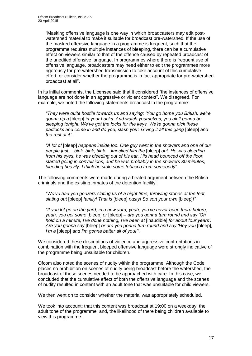"Masking offensive language is one way in which broadcasters may edit postwatershed material to make it suitable for broadcast pre-watershed. If the use of the masked offensive language in a programme is frequent, such that the programme requires multiple instances of bleeping, there can be a cumulative effect on viewers similar to that of the offence caused by repeated broadcast of the unedited offensive language. In programmes where there is frequent use of offensive language, broadcasters may need either to edit the programmes more rigorously for pre-watershed transmission to take account of this cumulative effort, or consider whether the programme is in fact appropriate for pre-watershed broadcast at all".

In its initial comments, the Licensee said that it considered "the instances of offensive language are not done in an aggressive or violent context". We disagreed. For example, we noted the following statements broadcast in the programme:

*"They were quite hostile towards us and saying: 'You go home you British, we're gonna rip a* [bleep] *in your backs. And watch yourselves, you ain't gonna be sleeping tonight. We've got the locks for the keys. We're gonna pick these padlocks and come in and do you, slash you'. Giving it all this gang* [bleep] *and the rest of it"*.

*"A lot of* [bleep] *happens inside too. One guy went in the showers and one of our people just …bink, bink, bink… knocked him the* [bleep] *out. He was bleeding from his eyes, he was bleeding out of his ear. His head bounced off the floor, started going in convulsions, and he was probably in the showers 30 minutes, bleeding heavily. I think he stole some tobacco from somebody*".

The following comments were made during a heated argument between the British criminals and the existing inmates of the detention facility:

*"We've had you geezers slating us of a night time, throwing stones at the tent, slating out* [bleep] *family! That is* [bleep] *nasty! So sort your own* [bleep]*!".*

*"If you lot go on the yard, in a new yard, yeah, you've never been there before, yeah, you get some* [bleep] *or* [bleep] *– are you gonna turn round and say 'Oh hold on a minute, I've done nothing, I've been at* [inaudible] *for about four years'. Are you gonna say* [bleep] *or are you gonna turn round and say 'Hey you* [bleep]*, I'm a* [bleep] *and I'm gonna batter all of you!'".*

We considered these descriptions of violence and aggressive confrontations in combination with the frequent bleeped offensive language were strongly indicative of the programme being unsuitable for children.

Ofcom also noted the scenes of nudity within the programme. Although the Code places no prohibition on scenes of nudity being broadcast before the watershed, the broadcast of these scenes needed to be approached with care. In this case, we concluded that the cumulative effect of both the offensive language and the scenes of nudity resulted in content with an adult tone that was unsuitable for child viewers.

We then went on to consider whether the material was appropriately scheduled.

We took into account: that this content was broadcast at 19:00 on a weekday; the adult tone of the programme; and, the likelihood of there being children available to view this programme.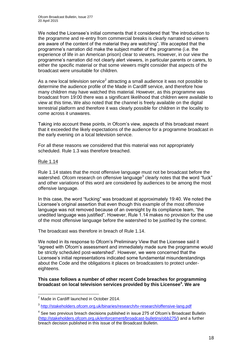We noted the Licensee's initial comments that it considered that "the introduction to the programme and re-entry from commercial breaks is clearly narrated so viewers are aware of the content of the material they are watching". We accepted that the programme's narration did make the subject matter of the programme (i.e. the experience of life in an American prison) clear to viewers. However, in our view the programme's narration did not clearly alert viewers, in particular parents or carers, to either the specific material or that some viewers might consider that aspects of the broadcast were unsuitable for children.

As a new local television service<sup>2</sup> attracting a small audience it was not possible to determine the audience profile of the Made in Cardiff service, and therefore how many children may have watched this material. However, as this programme was broadcast from 19:00 there was a significant likelihood that children were available to view at this time**.** We also noted that the channel is freely available on the digital terrestrial platform and therefore it was clearly possible for children in the locality to come across it unawares.

Taking into account these points, in Ofcom's view, aspects of this broadcast meant that it exceeded the likely expectations of the audience for a programme broadcast in the early evening on a local television service.

For all these reasons we considered that this material was not appropriately scheduled. Rule 1.3 was therefore breached.

#### Rule 1.14

Rule 1.14 states that the most offensive language must not be broadcast before the watershed. Ofcom research on offensive language<sup>3</sup> clearly notes that the word "fuck" and other variations of this word are considered by audiences to be among the most offensive language.

In this case, the word "fucking" was broadcast at approximately 19:40. We noted the Licensee's original assertion that even though this example of the most offensive language was not removed because of an oversight by its compliance team, "the unedited language was justified". However, Rule 1.14 makes no provision for the use of the most offensive language before the watershed to be justified by the context.

The broadcast was therefore in breach of Rule 1.14.

We noted in its response to Ofcom's Preliminary View that the Licensee said it "agreed with Ofcom's assessment and immediately made sure the programme would be strictly scheduled post-watershed". However, we were concerned that the Licensee's initial representations indicated some fundamental misunderstandings about the Code and the obligations it places on broadcasters to protect undereighteens.

# **This case follows a number of other recent Code breaches for programming broadcast on local television services provided by this Licensee<sup>4</sup> . We are**

<sup>1</sup> <sup>2</sup> Made in Cardiff launched in October 2014.

<sup>&</sup>lt;sup>3</sup><http://stakeholders.ofcom.org.uk/binaries/research/tv-research/offensive-lang.pdf>

 $4$  See two previous breach decisions published in issue 275 of Ofcom's Broadcast Bulletin [\(http://stakeholders.ofcom.org.uk/enforcement/broadcast-bulletins/obb275/\)](http://stakeholders.ofcom.org.uk/enforcement/broadcast-bulletins/obb275/) and a further breach decision published in this issue of the Broadcast Bulletin.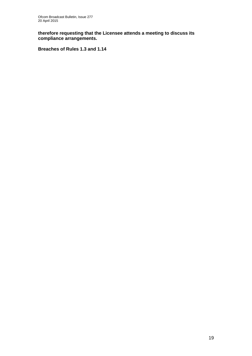**therefore requesting that the Licensee attends a meeting to discuss its compliance arrangements.**

**Breaches of Rules 1.3 and 1.14**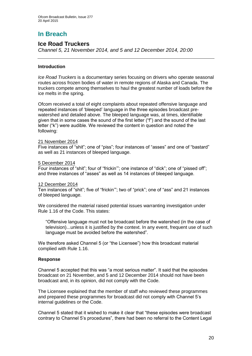# **In Breach**

# **Ice Road Truckers**

*Channel 5, 21 November 2014, and 5 and 12 December 2014, 20:00* 

# **Introduction**

*Ice Road Truckers* is a documentary series focusing on drivers who operate seasonal routes across frozen bodies of water in remote regions of Alaska and Canada. The truckers compete among themselves to haul the greatest number of loads before the ice melts in the spring.

Ofcom received a total of eight complaints about repeated offensive language and repeated instances of 'bleeped' language in the three episodes broadcast prewatershed and detailed above. The bleeped language was, at times, identifiable given that in some cases the sound of the first letter ("f") and the sound of the last letter ("k") were audible. We reviewed the content in question and noted the following:

# 21 November 2014

Five instances of "shit"; one of "piss"; four instances of "asses" and one of "bastard" as well as 21 instances of bleeped language.

#### 5 December 2014

Four instances of "shit"; four of "frickin'"; one instance of "dick"; one of "pissed off"; and three instances of "asses" as well as 14 instances of bleeped language.

# 12 December 2014

Ten instances of "shit"; five of "frickin'"; two of "prick"; one of "ass" and 21 instances of bleeped language.

We considered the material raised potential issues warranting investigation under Rule 1.16 of the Code. This states:

"Offensive language must not be broadcast before the watershed (in the case of television)...unless it is justified by the context. In any event, frequent use of such language must be avoided before the watershed".

We therefore asked Channel 5 (or "the Licensee") how this broadcast material complied with Rule 1.16.

# **Response**

Channel 5 accepted that this was "a most serious matter". It said that the episodes broadcast on 21 November, and 5 and 12 December 2014 should not have been broadcast and, in its opinion, did not comply with the Code.

The Licensee explained that the member of staff who reviewed these programmes and prepared these programmes for broadcast did not comply with Channel 5's internal guidelines or the Code.

Channel 5 stated that it wished to make it clear that "these episodes were broadcast contrary to Channel 5's procedures", there had been no referral to the Content Legal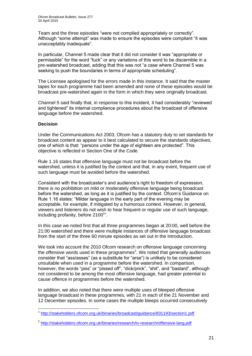Team and the three episodes "were not complied appropriately or correctly". Although "some attempt" was made to ensure the episodes were compliant "it was unacceptably inadequate".

In particular, Channel 5 made clear that it did not consider it was "appropriate or permissible" for the word "fuck" or any variations of this word to be discernible in a pre-watershed broadcast, adding that this was not "a case where Channel 5 was seeking to push the boundaries in terms of appropriate scheduling".

The Licensee apologised for the errors made in this instance. It said that the master tapes for each programme had been amended and none of these episodes would be broadcast pre-watershed again in the form in which they were originally broadcast.

Channel 5 said finally that, in response to this incident, it had considerably "reviewed and tightened" its internal compliance procedures about the broadcast of offensive language before the watershed.

# **Decision**

1

Under the Communications Act 2003, Ofcom has a statutory duty to set standards for broadcast content as appear to it best calculated to secure the standards objectives, one of which is that: "persons under the age of eighteen are protected". This objective is reflected in Section One of the Code.

Rule 1.16 states that offensive language must not be broadcast before the watershed, unless it is justified by the context and that, in any event, frequent use of such language must be avoided before the watershed.

Consistent with the broadcaster's and audience's right to freedom of expression, there is no prohibition on mild or moderately offensive language being broadcast before the watershed, as long as it is justified by the context. Ofcom's Guidance on Rule 1.16 states: "Milder language in the early part of the evening may be acceptable, for example, if mitigated by a humorous context. However, in general, viewers and listeners do not wish to hear frequent or regular use of such language, including profanity, before 2100<sup>1</sup>".

In this case we noted first that all three programmes began at 20:00, well before the 21:00 watershed and there were multiple instances of offensive language broadcast from the start of the three 60 minute episodes as set out in the Introduction.

We took into account the 2010 Ofcom research on offensive language concerning the offensive words used in these programmes<sup>2</sup>. We noted that generally audiences consider that "ass/asses" (as a substitute for "arse") is unlikely to be considered unsuitable when used in a programme before the watershed. In comparison, however, the words "piss" or "pissed off", "dick/prick", "shit", and "bastard", although not considered to be among the most offensive language, had greater potential to cause offence in programmes before the watershed.

In addition, we also noted that there were multiple uses of bleeped offensive language broadcast in these programmes, with 21 in each of the 21 November and 12 December episodes. In some cases the multiple bleeps occurred consecutively

<sup>&</sup>lt;sup>1</sup> <http://stakeholders.ofcom.org.uk/binaries/broadcast/guidance/831193/section1.pdf>

<sup>&</sup>lt;sup>2</sup> <http://stakeholders.ofcom.org.uk/binaries/research/tv-research/offensive-lang.pdf>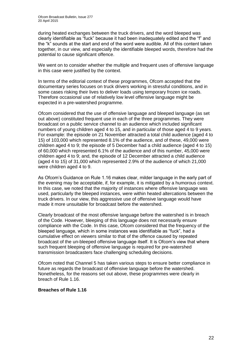during heated exchanges between the truck drivers, and the word bleeped was clearly identifiable as "fuck" because it had been inadequately edited and the "f" and the "k" sounds at the start and end of the word were audible. All of this content taken together, in our view, and especially the identifiable bleeped words, therefore had the potential to cause significant offence.

We went on to consider whether the multiple and frequent uses of offensive language in this case were justified by the context.

In terms of the editorial context of these programmes, Ofcom accepted that the documentary series focuses on truck drivers working in stressful conditions, and in some cases risking their lives to deliver loads using temporary frozen ice roads. Therefore occasional use of relatively low level offensive language might be expected in a pre-watershed programme.

Ofcom considered that the use of offensive language and bleeped language (as set out above) constituted frequent use in each of the three programmes. They were broadcast on a public service channel to an audience which included significant numbers of young children aged 4 to 15, and in particular of those aged 4 to 9 years. For example: the episode on 21 November attracted a total child audience (aged 4 to 15) of 103,000 which represented 8.1% of the audience, and of these, 49,000 were children aged 4 to 9; the episode of 5 December had a child audience (aged 4 to 15) of 60,000 which represented 6.1% of the audience and of this number, 45,000 were children aged 4 to 9; and, the episode of 12 December attracted a child audience (aged 4 to 15) of 31,000 which represented 2.9% of the audience of which 21,000 were children aged 4 to 9.

As Ofcom's Guidance on Rule 1.16 makes clear, milder language in the early part of the evening may be acceptable, if, for example, it is mitigated by a humorous context. In this case, we noted that the majority of instances where offensive language was used, particularly the bleeped instances, were within heated altercations between the truck drivers. In our view, this aggressive use of offensive language would have made it more unsuitable for broadcast before the watershed.

Clearly broadcast of the most offensive language before the watershed is in breach of the Code. However, bleeping of this language does not necessarily ensure compliance with the Code. In this case, Ofcom considered that the frequency of the bleeped language, which in some instances was identifiable as "fuck", had a cumulative effect on viewers similar to that of the offence caused by repeated broadcast of the un-bleeped offensive language itself. It is Ofcom's view that where such frequent bleeping of offensive language is required for pre-watershed transmission broadcasters face challenging scheduling decisions.

Ofcom noted that Channel 5 has taken various steps to ensure better compliance in future as regards the broadcast of offensive language before the watershed. Nonetheless, for the reasons set out above, these programmes were clearly in breach of Rule 1.16.

# **Breaches of Rule 1.16**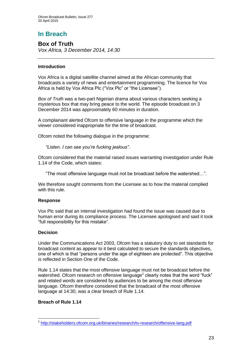# **In Breach**

**Box of Truth** *Vox Africa, 3 December 2014, 14:30*

# **Introduction**

Vox Africa is a digital satellite channel aimed at the African community that broadcasts a variety of news and entertainment programming. The licence for Vox Africa is held by Vox Africa Plc ("Vox Plc" or "the Licensee").

*Box of Truth* was a two-part Nigerian drama about various characters seeking a mysterious box that may bring peace to the world. The episode broadcast on 3 December 2014 was approximately 60 minutes in duration.

A complainant alerted Ofcom to offensive language in the programme which the viewer considered inappropriate for the time of broadcast.

Ofcom noted the following dialogue in the programme:

*"Listen. I can see you're fucking jealous"*.

Ofcom considered that the material raised issues warranting investigation under Rule 1.14 of the Code, which states:

"The most offensive language must not be broadcast before the watershed…".

We therefore sought comments from the Licensee as to how the material complied with this rule.

# **Response**

Vox Plc said that an internal investigation had found the issue was caused due to human error during its compliance process. The Licensee apologised and said it took "full responsibility for this mistake".

# **Decision**

Under the Communications Act 2003, Ofcom has a statutory duty to set standards for broadcast content as appear to it best calculated to secure the standards objectives, one of which is that "persons under the age of eighteen are protected". This objective is reflected in Section One of the Code.

Rule 1.14 states that the most offensive language must not be broadcast before the watershed. Ofcom research on offensive language<sup>1</sup> clearly notes that the word "fuck" and related words are considered by audiences to be among the most offensive language. Ofcom therefore considered that the broadcast of the most offensive language at 14:30, was a clear breach of Rule 1.14.

# **Breach of Rule 1.14**

<sup>1</sup> <sup>1</sup> <http://stakeholders.ofcom.org.uk/binaries/research/tv-research/offensive-lang.pdf>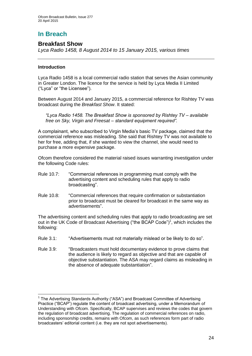# **In Breach**

# **Breakfast Show**

*Lyca Radio 1458, 8 August 2014 to 15 January 2015, various times*

# **Introduction**

1

Lyca Radio 1458 is a local commercial radio station that serves the Asian community in Greater London. The licence for the service is held by Lyca Media II Limited ("Lyca" or "the Licensee").

Between August 2014 and January 2015, a commercial reference for Rishtey TV was broadcast during the *Breakfast Show*. It stated:

*"Lyca Radio 1458. The Breakfast Show is sponsored by Rishtey TV – available free on Sky, Virgin and Freesat – standard equipment required".*

A complainant, who subscribed to Virgin Media's basic TV package, claimed that the commercial reference was misleading. She said that Rishtey TV was not available to her for free, adding that, if she wanted to view the channel, she would need to purchase a more expensive package.

Ofcom therefore considered the material raised issues warranting investigation under the following Code rules:

- Rule 10.7: "Commercial references in programming must comply with the advertising content and scheduling rules that apply to radio broadcasting".
- Rule 10.8: "Commercial references that require confirmation or substantiation prior to broadcast must be cleared for broadcast in the same way as advertisements".

The advertising content and scheduling rules that apply to radio broadcasting are set out in the UK Code of Broadcast Advertising ("the BCAP Code")<sup>1</sup>, which includes the following:

- Rule 3.1: "Advertisements must not materially mislead or be likely to do so".
- Rule 3.9: "Broadcasters must hold documentary evidence to prove claims that the audience is likely to regard as objective and that are capable of objective substantiation. The ASA may regard claims as misleading in the absence of adequate substantiation".

<sup>&</sup>lt;sup>1</sup> The Advertising Standards Authority ("ASA") and Broadcast Committee of Advertising Practice ("BCAP") regulate the content of broadcast advertising, under a Memorandum of Understanding with Ofcom. Specifically, BCAP supervises and reviews the codes that govern the regulation of broadcast advertising. The regulation of commercial references on radio, including sponsorship credits, remains with Ofcom, as such references form part of radio broadcasters' editorial content (i.e. they are not spot advertisements).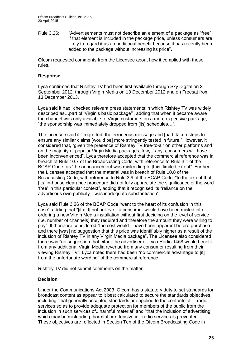Rule 3.26: "Advertisements must not describe an element of a package as "free" if that element is included in the package price, unless consumers are likely to regard it as an additional benefit because it has recently been added to the package without increasing its price".

Ofcom requested comments from the Licensee about how it complied with these rules.

### **Response**

Lyca confirmed that Rishtey TV had been first available through Sky Digital on 3 September 2012, through Virgin Media on 13 December 2012 and on Freesat from 13 December 2013.

Lyca said it had "checked relevant press statements in which Rishtey TV was widely described as…part of 'Virgin's basic package'", adding that when it became aware the channel was only available to Virgin customers on a more expensive package, "the sponsorship was immediately dropped from [its] schedules…".

The Licensee said it "[regretted] the erroneous message and [had] taken steps to ensure any similar claims [would be] more stringently tested in future." However, it considered that, "given the presence of Rishtey TV free-to-air on other platforms and on the majority of popular Virgin Media packages, few, if any, consumers will have been inconvenienced". Lyca therefore accepted that the commercial reference was in breach of Rule 10.7 of the Broadcasting Code, with reference to Rule 3.1 of the BCAP Code, as "the announcement was misleading to [this] limited extent". Further, the Licensee accepted that the material was in breach of Rule 10.8 of the Broadcasting Code, with reference to Rule 3.9 of the BCAP Code, "to the extent that [its] in-house clearance procedure did not fully appreciate the significance of the word 'free' in this particular context", adding that it recognised its "reliance on the advertiser's own publicity…was inadequate substantiation".

Lyca said Rule 3.26 of the BCAP Code "went to the heart of its confusion in this case", adding that "[it did] not believe…a consumer would have been misled into ordering a new Virgin Media installation without first deciding on the level of service (i.e. number of channels) they required and therefore the amount they were willing to pay". It therefore considered "the cost would…have been apparent before purchase and there [was] no suggestion that this price was identifiably higher as a result of the inclusion of Rishtey TV in any Virgin Media package". The Licensee also considered there was "no suggestion that either the advertiser or Lyca Radio 1458 would benefit from any additional Virgin Media revenue from any consumer resulting from their viewing Rishtey TV". Lyca noted there had been "no commercial advantage to [it] from the unfortunate wording" of the commercial reference.

Rishtey TV did not submit comments on the matter.

# **Decision**

Under the Communications Act 2003, Ofcom has a statutory duty to set standards for broadcast content as appear to it best calculated to secure the standards objectives, including "that generally accepted standards are applied to the contents of ... radio services so as to provide adequate protection for members of the public from the inclusion in such services of...harmful material" and "that the inclusion of advertising which may be misleading, harmful or offensive in...radio services is prevented". These objectives are reflected in Section Ten of the Ofcom Broadcasting Code in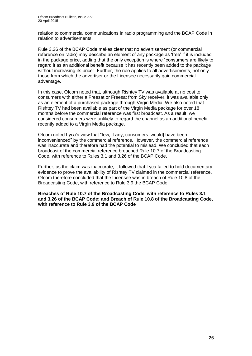relation to commercial communications in radio programming and the BCAP Code in relation to advertisements.

Rule 3.26 of the BCAP Code makes clear that no advertisement (or commercial reference on radio) may describe an element of any package as 'free' if it is included in the package price, adding that the only exception is where "consumers are likely to regard it as an additional benefit because it has recently been added to the package without increasing its price". Further, the rule applies to all advertisements, not only those from which the advertiser or the Licensee necessarily gain commercial advantage.

In this case, Ofcom noted that, although Rishtey TV was available at no cost to consumers with either a Freesat or Freesat from Sky receiver, it was available only as an element of a purchased package through Virgin Media. We also noted that Rishtey TV had been available as part of the Virgin Media package for over 18 months before the commercial reference was first broadcast. As a result, we considered consumers were unlikely to regard the channel as an additional benefit recently added to a Virgin Media package.

Ofcom noted Lyca's view that "few, if any, consumers [would] have been inconvenienced" by the commercial reference. However, the commercial reference was inaccurate and therefore had the potential to mislead. We concluded that each broadcast of the commercial reference breached Rule 10.7 of the Broadcasting Code, with reference to Rules 3.1 and 3.26 of the BCAP Code.

Further, as the claim was inaccurate, it followed that Lyca failed to hold documentary evidence to prove the availability of Rishtey TV claimed in the commercial reference. Ofcom therefore concluded that the Licensee was in breach of Rule 10.8 of the Broadcasting Code, with reference to Rule 3.9 the BCAP Code.

**Breaches of Rule 10.7 of the Broadcasting Code, with reference to Rules 3.1 and 3.26 of the BCAP Code; and Breach of Rule 10.8 of the Broadcasting Code, with reference to Rule 3.9 of the BCAP Code**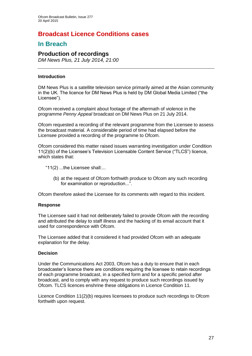# **Broadcast Licence Conditions cases**

# **In Breach**

# **Production of recordings**

*DM News Plus, 21 July 2014, 21:00*

# **Introduction**

DM News Plus is a satellite television service primarily aimed at the Asian community in the UK. The licence for DM News Plus is held by DM Global Media Limited ("the Licensee").

Ofcom received a complaint about footage of the aftermath of violence in the programme *Penny Appeal* broadcast on DM News Plus on 21 July 2014.

Ofcom requested a recording of the relevant programme from the Licensee to assess the broadcast material. A considerable period of time had elapsed before the Licensee provided a recording of the programme to Ofcom.

Ofcom considered this matter raised issues warranting investigation under Condition 11(2)(b) of the Licensee's Television Licensable Content Service ("TLCS") licence, which states that:

- "11(2) ...the Licensee shall:...
	- (b) at the request of Ofcom forthwith produce to Ofcom any such recording for examination or reproduction...".

Ofcom therefore asked the Licensee for its comments with regard to this incident.

# **Response**

The Licensee said it had not deliberately failed to provide Ofcom with the recording and attributed the delay to staff illness and the hacking of its email account that it used for correspondence with Ofcom.

The Licensee added that it considered it had provided Ofcom with an adequate explanation for the delay.

# **Decision**

Under the Communications Act 2003, Ofcom has a duty to ensure that in each broadcaster's licence there are conditions requiring the licensee to retain recordings of each programme broadcast, in a specified form and for a specific period after broadcast, and to comply with any request to produce such recordings issued by Ofcom. TLCS licences enshrine these obligations in Licence Condition 11.

Licence Condition 11(2)(b) requires licensees to produce such recordings to Ofcom forthwith upon request.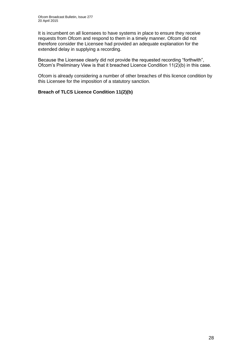It is incumbent on all licensees to have systems in place to ensure they receive requests from Ofcom and respond to them in a timely manner. Ofcom did not therefore consider the Licensee had provided an adequate explanation for the extended delay in supplying a recording.

Because the Licensee clearly did not provide the requested recording "forthwith", Ofcom's Preliminary View is that it breached Licence Condition 11(2)(b) in this case.

Ofcom is already considering a number of other breaches of this licence condition by this Licensee for the imposition of a statutory sanction.

# **Breach of TLCS Licence Condition 11(2)(b)**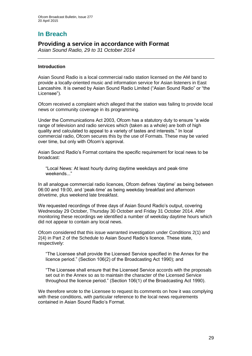# **In Breach**

# **Providing a service in accordance with Format**

*Asian Sound Radio, 29 to 31 October 2014*

# **Introduction**

Asian Sound Radio is a local commercial radio station licensed on the AM band to provide a locally-oriented music and information service for Asian listeners in East Lancashire. It is owned by Asian Sound Radio Limited ("Asian Sound Radio" or "the Licensee").

Ofcom received a complaint which alleged that the station was failing to provide local news or community coverage in its programming.

Under the Communications Act 2003, Ofcom has a statutory duty to ensure "a wide range of television and radio services which (taken as a whole) are both of high quality and calculated to appeal to a variety of tastes and interests." In local commercial radio, Ofcom secures this by the use of Formats. These may be varied over time, but only with Ofcom's approval.

Asian Sound Radio's Format contains the specific requirement for local news to be broadcast:

"Local News: At least hourly during daytime weekdays and peak-time weekends..."

In all analogue commercial radio licences, Ofcom defines 'daytime' as being between 06:00 and 19:00, and 'peak-time' as being weekday breakfast and afternoon drivetime, plus weekend late breakfast.

We requested recordings of three days of Asian Sound Radio's output, covering Wednesday 29 October, Thursday 30 October and Friday 31 October 2014. After monitoring these recordings we identified a number of weekday daytime hours which did not appear to contain any local news.

Ofcom considered that this issue warranted investigation under Conditions 2(1) and 2(4) in Part 2 of the Schedule to Asian Sound Radio's licence. These state, respectively:

"The Licensee shall provide the Licensed Service specified in the Annex for the licence period." (Section 106(2) of the Broadcasting Act 1990); and

"The Licensee shall ensure that the Licensed Service accords with the proposals set out in the Annex so as to maintain the character of the Licensed Service throughout the licence period." (Section 106(1) of the Broadcasting Act 1990).

We therefore wrote to the Licensee to request its comments on how it was complying with these conditions, with particular reference to the local news requirements contained in Asian Sound Radio's Format.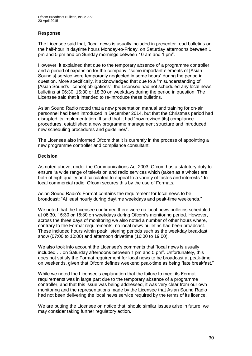# **Response**

The Licensee said that, "local news is usually included in presenter-read bulletins on the half-hour in daytime hours Monday-to-Friday, on Saturday afternoons between 1 pm and 5 pm and on Sunday mornings between 10 am and 1 pm".

However, it explained that due to the temporary absence of a programme controller and a period of expansion for the company, "some important elements of [Asian Sound's] service were temporarily neglected in some hours" during the period in question. More specifically, it acknowledged that due to a "misunderstanding of [Asian Sound's licence] obligations", the Licensee had not scheduled any local news bulletins at 06:30, 15:30 or 18:30 on weekdays during the period in question. The Licensee said that it intended to re-introduce these bulletins.

Asian Sound Radio noted that a new presentation manual and training for on-air personnel had been introduced in December 2014, but that the Christmas period had disrupted its implementation. It said that it had "now revised [its] compliance procedures, established a new programme management structure and introduced new scheduling procedures and guidelines".

The Licensee also informed Ofcom that it is currently in the process of appointing a new programme controller and compliance consultant.

# **Decision**

As noted above, under the Communications Act 2003, Ofcom has a statutory duty to ensure "a wide range of television and radio services which (taken as a whole) are both of high quality and calculated to appeal to a variety of tastes and interests." In local commercial radio, Ofcom secures this by the use of Formats.

Asian Sound Radio's Format contains the requirement for local news to be broadcast: "At least hourly during daytime weekdays and peak-time weekends."

We noted that the Licensee confirmed there were no local news bulletins scheduled at 06:30, 15:30 or 18:30 on weekdays during Ofcom's monitoring period. However, across the three days of monitoring we also noted a number of other hours where, contrary to the Format requirements, no local news bulletins had been broadcast. These included hours within peak listening periods such as the weekday breakfast show (07:00 to 10:00) and afternoon drivetime (16:00 to 19:00).

We also took into account the Licensee's comments that "local news is usually included … on Saturday afternoons between 1 pm and 5 pm". Unfortunately, this does not satisfy the Format requirement for local news to be broadcast at peak-time on weekends, given that Ofcom defines weekend peak-time as being "late breakfast."

While we noted the Licensee's explanation that the failure to meet its Format requirements was in large part due to the temporary absence of a programme controller, and that this issue was being addressed, it was very clear from our own monitoring and the representations made by the Licensee that Asian Sound Radio had not been delivering the local news service required by the terms of its licence.

We are putting the Licensee on notice that, should similar issues arise in future, we may consider taking further regulatory action.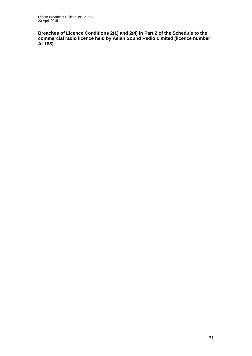**Breaches of Licence Conditions 2(1) and 2(4) in Part 2 of the Schedule to the commercial radio licence held by Asian Sound Radio Limited (licence number AL183)**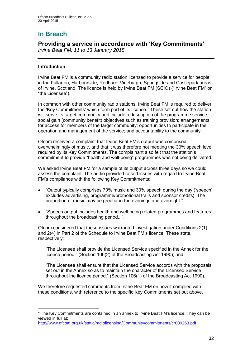# **In Breach**

# **Providing a service in accordance with 'Key Commitments'**

*Irvine Beat FM, 11 to 13 January 2015* 

# **Introduction**

1

Irvine Beat FM is a community radio station licensed to provide a service for people in the Fullarton, Harbourside, Redburn, Vineburgh, Springside and Castlepark areas of Irvine, Scotland. The licence is held by Irvine Beat FM (SCIO) ("Irvine Beat FM" or "the Licensee").

In common with other community radio stations, Irvine Beat FM is required to deliver the 'Key Commitments' which form part of its licence.<sup>1</sup> These set out how the station will serve its target community and include a description of the programme service; social gain (community benefit) objectives such as training provision; arrangements for access for members of the target community; opportunities to participate in the operation and management of the service; and accountability to the community.

Ofcom received a complaint that Irvine Beat FM's output was comprised overwhelmingly of music, and that it was therefore not meeting the 30% speech level required by its Key Commitments. The complainant also felt that the station's commitment to provide "health and well-being" programmes was not being delivered.

We asked Irvine Beat FM for a sample of its output across three days so we could assess the complaint. The audio provided raised issues with regard to Irvine Beat FM's compliance with the following Key Commitments:

- "Output typically comprises 70% music and 30% speech during the day ('speech' excludes advertising, programme/promotional trails and sponsor credits). The proportion of music may be greater in the evenings and overnight."
- "Speech output includes health and well-being related programmes and features throughout the broadcasting period...".

Ofcom considered that these issues warranted investigation under Conditions 2(1) and 2(4) in Part 2 of the Schedule to Irvine Beat FM's licence. These state, respectively:

"The Licensee shall provide the Licensed Service specified in the Annex for the licence period." (Section 106(2) of the Broadcasting Act 1990); and

"The Licensee shall ensure that the Licensed Service accords with the proposals set out in the Annex so as to maintain the character of the Licensed Service throughout the licence period." (Section 106(1) of the Broadcasting Act 1990).

We therefore requested comments from Irvine Beat FM on how it complied with these conditions, with reference to the specific Key Commitments set out above.

 $1$  The Key Commitments are contained in an annex to Irvine Beat FM's licence. They can be viewed in full at:

<http://www.ofcom.org.uk/static/radiolicensing/Community/commitments/cr000263.pdf>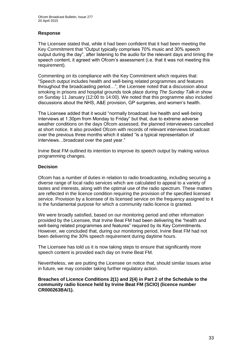# **Response**

The Licensee stated that, while it had been confident that it had been meeting the Key Commitment that "Output typically comprises 70% music and 30% speech output during the day", after listening to the audio for the relevant days and timing the speech content, it agreed with Ofcom's assessment (i.e. that it was not meeting this requirement).

Commenting on its compliance with the Key Commitment which requires that: "Speech output includes health and well-being related programmes and features throughout the broadcasting period…", the Licensee noted that a discussion about smoking in prisons and hospital grounds took place during *The Sunday Talk-in* show on Sunday 11 January (12:00 to 14:00). We noted that this programme also included discussions about the NHS, A&E provision, GP surgeries, and women's health.

The Licensee added that it would "normally broadcast live health and well-being interviews at 1.30pm from Monday to Friday" but that, due to extreme adverse weather conditions on the days Ofcom assessed, the planned interviewees cancelled at short notice. It also provided Ofcom with records of relevant interviews broadcast over the previous three months which it stated "is a typical representation of interviews…broadcast over the past year."

Irvine Beat FM outlined its intention to improve its speech output by making various programming changes.

# **Decision**

Ofcom has a number of duties in relation to radio broadcasting, including securing a diverse range of local radio services which are calculated to appeal to a variety of tastes and interests, along with the optimal use of the radio spectrum. These matters are reflected in the licence condition requiring the provision of the specified licensed service. Provision by a licensee of its licensed service on the frequency assigned to it is the fundamental purpose for which a community radio licence is granted.

We were broadly satisfied, based on our monitoring period and other information provided by the Licensee, that Irvine Beat FM had been delivering the "health and well-being related programmes and features" required by its Key Commitments. However, we concluded that, during our monitoring period, Irvine Beat FM had not been delivering the 30% speech requirement during daytime hours.

The Licensee has told us it is now taking steps to ensure that significantly more speech content is provided each day on Irvine Beat FM.

Nevertheless, we are putting the Licensee on notice that, should similar issues arise in future, we may consider taking further regulatory action.

#### **Breaches of Licence Conditions 2(1) and 2(4) in Part 2 of the Schedule to the community radio licence held by Irvine Beat FM (SCIO) (licence number CR000263BA/1).**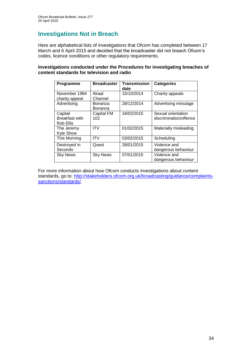# **Investigations Not in Breach**

Here are alphabetical lists of investigations that Ofcom has completed between 17 March and 6 April 2015 and decided that the broadcaster did not breach Ofcom's codes, licence conditions or other regulatory requirements.

### **Investigations conducted under the Procedures for investigating breaches of content standards for television and radio**

| Programme                                     | <b>Broadcaster</b> | <b>Transmission</b><br>date | <b>Categories</b>                            |
|-----------------------------------------------|--------------------|-----------------------------|----------------------------------------------|
| November 1984<br>charity appeal               | Akaal<br>Channel   | 15/10/2014                  | Charity appeals                              |
| Advertising                                   | Bonanza<br>Bonanza | 28/12/2014                  | Advertising minutage                         |
| Capital<br><b>Breakfast with</b><br>Rob Ellis | Capital FM<br>102  | 16/02/2015                  | Sexual orientation<br>discrimination/offence |
| The Jeremy<br><b>Kyle Show</b>                | <b>ITV</b>         | 01/02/2015                  | Materially misleading                        |
| This Morning                                  | <b>ITV</b>         | 03/02/2015                  | Scheduling                                   |
| Destroyed in<br>Seconds                       | Quest              | 28/01/2015                  | Violence and<br>dangerous behaviour          |
| <b>Sky News</b>                               | <b>Sky News</b>    | 07/01/2015                  | Violence and<br>dangerous behaviour          |

For more information about how Ofcom conducts investigations about content standards, go to: [http://stakeholders.ofcom.org.uk/broadcasting/guidance/complaints](http://stakeholders.ofcom.org.uk/broadcasting/guidance/complaints-sanctions/standards/)[sanctions/standards/.](http://stakeholders.ofcom.org.uk/broadcasting/guidance/complaints-sanctions/standards/)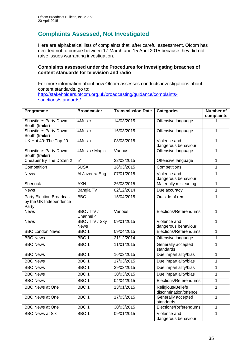# **Complaints Assessed, Not Investigated**

Here are alphabetical lists of complaints that, after careful assessment, Ofcom has decided not to pursue between 17 March and 15 April 2015 because they did not raise issues warranting investigation.

# **Complaints assessed under the Procedures for investigating breaches of content standards for television and radio**

For more information about how Ofcom assesses conducts investigations about content standards, go to: [http://stakeholders.ofcom.org.uk/broadcasting/guidance/complaints](http://stakeholders.ofcom.org.uk/broadcasting/guidance/complaints-sanctions/standards/)[sanctions/standards/.](http://stakeholders.ofcom.org.uk/broadcasting/guidance/complaints-sanctions/standards/)

| Programme                                                          | <b>Broadcaster</b>         | <b>Transmission Date</b> | <b>Categories</b>                           | <b>Number of</b><br>complaints |
|--------------------------------------------------------------------|----------------------------|--------------------------|---------------------------------------------|--------------------------------|
| Showtime: Party Down<br>South (trailer)                            | 4Music                     | 14/03/2015               | Offensive language                          |                                |
| <b>Showtime: Party Down</b><br>South (trailer)                     | 4Music                     | 16/03/2015               | Offensive language                          | 1                              |
| UK Hot 40: The Top 20                                              | 4Music                     | 08/03/2015               | Violence and<br>dangerous behaviour         | 1                              |
| Showtime: Party Down<br>South (trailer)                            | 4Music / Magic             | Various                  | Offensive language                          | 1                              |
| Cheaper By The Dozen 2                                             | $5*$                       | 22/03/2015               | Offensive language                          | $\overline{1}$                 |
| Competition                                                        | 5USA                       | 16/03/2015               | Competitions                                | $\mathbf 1$                    |
| <b>News</b>                                                        | Al Jazeera Eng             | 07/01/2015               | Violence and<br>dangerous behaviour         | 1                              |
| Sherlock                                                           | <b>AXN</b>                 | 26/03/2015               | Materially misleading                       | 1                              |
| <b>News</b>                                                        | Bangla TV                  | 02/12/2014               | Due accuracy                                | $\mathbf 1$                    |
| <b>Party Election Broadcast</b><br>by the UK Independence<br>Party | <b>BBC</b>                 | 15/04/2015               | Outside of remit                            | 1                              |
| <b>News</b>                                                        | BBC/ITV/<br>Channel 4      | Various                  | Elections/Referendums                       | $\mathbf 1$                    |
| <b>News</b>                                                        | BBC/ITV/Sky<br><b>News</b> | 09/01/2015               | Violence and<br>dangerous behaviour         | 1                              |
| <b>BBC London News</b>                                             | BBC <sub>1</sub>           | 09/04/2015               | Elections/Referendums                       | 1                              |
| <b>BBC News</b>                                                    | BBC <sub>1</sub>           | 21/12/2014               | Offensive language                          | 1                              |
| <b>BBC News</b>                                                    | BBC <sub>1</sub>           | 11/01/2015               | Generally accepted<br>standards             | $\mathbf{1}$                   |
| <b>BBC News</b>                                                    | BBC <sub>1</sub>           | 16/03/2015               | Due impartiality/bias                       | $\mathbf{1}$                   |
| <b>BBC News</b>                                                    | BBC <sub>1</sub>           | 17/03/2015               | Due impartiality/bias                       | 1                              |
| <b>BBC News</b>                                                    | BBC <sub>1</sub>           | 29/03/2015               | Due impartiality/bias                       | 1                              |
| <b>BBC News</b>                                                    | BBC <sub>1</sub>           | 30/03/2015               | Due impartiality/bias                       | $\mathbf 1$                    |
| <b>BBC News</b>                                                    | BBC <sub>1</sub>           | 04/04/2015               | Elections/Referendums                       | 1                              |
| <b>BBC News at One</b>                                             | BBC <sub>1</sub>           | 13/01/2015               | Religious/Beliefs<br>discrimination/offence | 1                              |
| <b>BBC News at One</b>                                             | BBC <sub>1</sub>           | 17/03/2015               | Generally accepted<br>standards             | $\mathbf{1}$                   |
| <b>BBC News at One</b>                                             | BBC <sub>1</sub>           | 30/03/2015               | Elections/Referendums                       | $\mathbf 1$                    |
| <b>BBC News at Six</b>                                             | BBC <sub>1</sub>           | 09/01/2015               | Violence and<br>dangerous behaviour         | 1                              |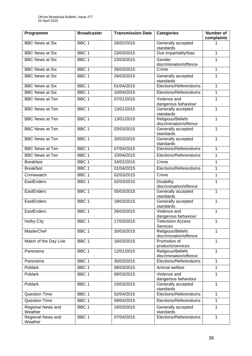| Programme                    | <b>Broadcaster</b> | <b>Transmission Date</b> | <b>Categories</b>                           | Number of<br>complaints |
|------------------------------|--------------------|--------------------------|---------------------------------------------|-------------------------|
| <b>BBC News at Six</b>       | BBC <sub>1</sub>   | 26/02/2015               | Generally accepted<br>standards             |                         |
| <b>BBC News at Six</b>       | BBC <sub>1</sub>   | 23/03/2015               | Due impartiality/bias                       | 1                       |
| <b>BBC News at Six</b>       | BBC <sub>1</sub>   | 23/03/2015               | Gender<br>discrimination/offence            | 1                       |
| <b>BBC News at Six</b>       | BBC <sub>1</sub>   | 26/03/2015               | Crime                                       | 1                       |
| <b>BBC News at Six</b>       | BBC <sub>1</sub>   | 26/03/2015               | Generally accepted<br>standards             | $\mathbf{1}$            |
| <b>BBC News at Six</b>       | BBC <sub>1</sub>   | 01/04/2015               | Elections/Referendums                       | $\mathbf{1}$            |
| <b>BBC News at Six</b>       | BBC <sub>1</sub>   | 10/04/2015               | Elections/Referendums                       | $\mathbf{1}$            |
| <b>BBC News at Ten</b>       | BBC <sub>1</sub>   | 07/01/2015               | Violence and<br>dangerous behaviour         | 1                       |
| <b>BBC News at Ten</b>       | BBC <sub>1</sub>   | 13/01/2015               | Generally accepted<br>standards             | $\mathbf{1}$            |
| <b>BBC News at Ten</b>       | BBC <sub>1</sub>   | 13/01/2015               | Religious/Beliefs<br>discrimination/offence | $\mathbf{1}$            |
| <b>BBC News at Ten</b>       | BBC <sub>1</sub>   | 03/03/2015               | Generally accepted<br>standards             | 1                       |
| <b>BBC News at Ten</b>       | BBC <sub>1</sub>   | 20/03/2015               | Generally accepted<br>standards             | $\mathbf{1}$            |
| <b>BBC News at Ten</b>       | BBC <sub>1</sub>   | 07/04/2015               | Elections/Referendums                       | 1                       |
| <b>BBC News at Ten</b>       | BBC <sub>1</sub>   | 10/04/2015               | Elections/Referendums                       | $\mathbf{1}$            |
| <b>Breakfast</b>             | BBC <sub>1</sub>   | 24/02/2015               | Crime                                       | 1                       |
| <b>Breakfast</b>             | BBC <sub>1</sub>   | 01/04/2015               | Elections/Referendums                       | 1                       |
| Crimewatch                   | BBC <sub>1</sub>   | 02/03/2015               | Crime                                       | $\mathbf{1}$            |
| EastEnders                   | BBC <sub>1</sub>   | 02/03/2015               | <b>Disability</b><br>discrimination/offence | 1                       |
| EastEnders                   | BBC <sub>1</sub>   | 05/03/2015               | Generally accepted<br>standards             | 1                       |
| EastEnders                   | BBC <sub>1</sub>   | 18/03/2015               | Generally accepted<br>standards             | $\mathbf{1}$            |
| EastEnders                   | BBC <sub>1</sub>   | 26/03/2015               | Violence and<br>dangerous behaviour         | 1                       |
| <b>Holby City</b>            | BBC <sub>1</sub>   | 17/03/2015               | Television Access<br>Services               | 1                       |
| MasterChef                   | BBC <sub>1</sub>   | 20/03/2015               | Religious/Beliefs<br>discrimination/offence | 1                       |
| Match of the Day Live        | $BBC \overline{1}$ | 16/03/2015               | Promotion of<br>products/services           | 1                       |
| Panorama                     | BBC <sub>1</sub>   | 12/01/2015               | Religious/Beliefs<br>discrimination/offence | $\mathbf{1}$            |
| Panorama                     | BBC <sub>1</sub>   | 30/03/2015               | Elections/Referendums                       | 1                       |
| Poldark                      | BBC 1              | 08/03/2015               | Animal welfare                              | $\mathbf{1}$            |
| Poldark                      | BBC <sub>1</sub>   | 08/03/2015               | Violence and<br>dangerous behaviour         | 1                       |
| Poldark                      | BBC <sub>1</sub>   | 15/03/2015               | Generally accepted<br>standards             | $\mathbf{1}$            |
| <b>Question Time</b>         | BBC <sub>1</sub>   | 02/04/2015               | Elections/Referendums                       | 1                       |
| <b>Question Time</b>         | BBC 1              | 09/04/2015               | Elections/Referendums                       | $\mathbf{1}$            |
| Regional News and<br>Weather | BBC <sub>1</sub>   | 16/03/2015               | Generally accepted<br>standards             | $\mathbf{1}$            |
| Regional News and<br>Weather | BBC <sub>1</sub>   | 07/04/2015               | Elections/Referendums                       | $\mathbf{1}$            |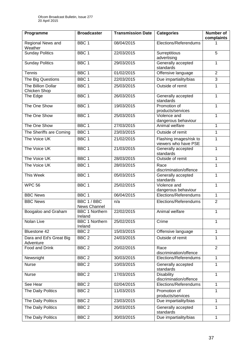| Programme                            | <b>Broadcaster</b>               | <b>Transmission Date</b> | <b>Categories</b>                               | <b>Number of</b><br>complaints |
|--------------------------------------|----------------------------------|--------------------------|-------------------------------------------------|--------------------------------|
| Regional News and<br>Weather         | BBC <sub>1</sub>                 | 08/04/2015               | Elections/Referendums                           |                                |
| <b>Sunday Politics</b>               | BBC <sub>1</sub>                 | 22/03/2015               | Surreptitious<br>advertising                    | 5                              |
| <b>Sunday Politics</b>               | BBC <sub>1</sub>                 | 29/03/2015               | Generally accepted<br>standards                 | 1                              |
| Tennis                               | BBC <sub>1</sub>                 | 01/02/2015               | Offensive language                              | $\overline{2}$                 |
| The Big Questions                    | BBC <sub>1</sub>                 | 22/03/2015               | Due impartiality/bias                           | $\overline{3}$                 |
| The Billion Dollar<br>Chicken Shop   | BBC <sub>1</sub>                 | 25/03/2015               | Outside of remit                                | 1                              |
| The Edge                             | BBC <sub>1</sub>                 | 26/03/2015               | Generally accepted<br>standards                 | $\mathbf{1}$                   |
| The One Show                         | BBC <sub>1</sub>                 | 19/03/2015               | Promotion of<br>products/services               | 1                              |
| The One Show                         | BBC <sub>1</sub>                 | 25/03/2015               | Violence and<br>dangerous behaviour             | 1                              |
| The One Show                         | BBC <sub>1</sub>                 | 27/03/2015               | Animal welfare                                  | 1                              |
| The Sheriffs are Coming              | BBC <sub>1</sub>                 | 23/03/2015               | Outside of remit                                | 1                              |
| The Voice UK                         | BBC <sub>1</sub>                 | 21/02/2015               | Flashing images/risk to<br>viewers who have PSE | 1                              |
| The Voice UK                         | BBC <sub>1</sub>                 | 21/03/2015               | Generally accepted<br>standards                 | 1                              |
| The Voice UK                         | BBC <sub>1</sub>                 | 28/03/2015               | Outside of remit                                | 1                              |
| The Voice UK                         | BBC <sub>1</sub>                 | 28/03/2015               | Race<br>discrimination/offence                  | 1                              |
| This Week                            | BBC <sub>1</sub>                 | 05/03/2015               | Generally accepted<br>standards                 | $\mathbf{1}$                   |
| <b>WPC 56</b>                        | BBC <sub>1</sub>                 | 25/02/2015               | Violence and<br>dangerous behaviour             | $\mathbf{1}$                   |
| <b>BBC News</b>                      | BBC <sub>1</sub>                 | 06/04/2015               | Elections/Referendums                           | 1                              |
| <b>BBC News</b>                      | BBC 1 / BBC<br>News Channel      | n/a                      | Elections/Referendums                           | $\overline{2}$                 |
| Boogaloo and Graham                  | <b>BBC 1 Northern</b><br>Ireland | 22/02/2015               | Animal welfare                                  | 1                              |
| Nolan Live                           | <b>BBC 1 Northern</b><br>Ireland | 25/02/2015               | Crime                                           | 1                              |
| Bluestone 42                         | BBC <sub>2</sub>                 | 15/03/2015               | Offensive language                              | 1                              |
| Dara and Ed's Great Big<br>Adventure | BBC <sub>2</sub>                 | 24/03/2015               | Outside of remit                                | 1                              |
| Food and Drink                       | BBC <sub>2</sub>                 | 20/02/2015               | Race<br>discrimination/offence                  | $\overline{2}$                 |
| Newsnight                            | BBC <sub>2</sub>                 | 30/03/2015               | Elections/Referendums                           | 1                              |
| <b>Nurse</b>                         | BBC <sub>2</sub>                 | 10/03/2015               | Generally accepted<br>standards                 | $\mathbf{1}$                   |
| Nurse                                | BBC <sub>2</sub>                 | 17/03/2015               | <b>Disability</b><br>discrimination/offence     | 1                              |
| See Hear                             | BBC <sub>2</sub>                 | 02/04/2015               | Elections/Referendums                           | 1                              |
| The Daily Politics                   | BBC <sub>2</sub>                 | 11/03/2015               | Promotion of<br>products/services               | 1                              |
| The Daily Politics                   | BBC <sub>2</sub>                 | 23/03/2015               | Due impartiality/bias                           | 1                              |
| The Daily Politics                   | BBC <sub>2</sub>                 | 26/03/2015               | Generally accepted<br>standards                 | $\mathbf{1}$                   |
| The Daily Politics                   | BBC <sub>2</sub>                 | 30/03/2015               | Due impartiality/bias                           | $\mathbf{1}$                   |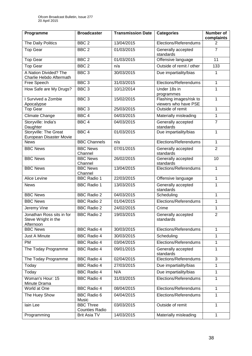| Programme                                                     | <b>Broadcaster</b>                        | <b>Transmission Date</b> | <b>Categories</b>                               | Number of<br>complaints |
|---------------------------------------------------------------|-------------------------------------------|--------------------------|-------------------------------------------------|-------------------------|
| The Daily Politics                                            | BBC <sub>2</sub>                          | 13/04/2015               | Elections/Referendums                           | 2                       |
| <b>Top Gear</b>                                               | BBC <sub>2</sub>                          | 01/03/2015               | Generally accepted<br>standards                 | $\overline{7}$          |
| <b>Top Gear</b>                                               | BBC <sub>2</sub>                          | 01/03/2015               | Offensive language                              | $\overline{11}$         |
| <b>Top Gear</b>                                               | BBC <sub>2</sub>                          | n/a                      | Outside of remit / other                        | 133                     |
| A Nation Divided? The<br>Charlie Hebdo Aftermath              | BBC <sub>3</sub>                          | 30/03/2015               | Due impartiality/bias                           | 1                       |
| Free Speech                                                   | BBC <sub>3</sub>                          | 31/03/2015               | Elections/Referendums                           | 1                       |
| How Safe are My Drugs?                                        | BBC <sub>3</sub>                          | 10/12/2014               | Under 18s in<br>programmes                      | 1                       |
| I Survived a Zombie<br>Apocalypse                             | BBC <sub>3</sub>                          | 15/02/2015               | Flashing images/risk to<br>viewers who have PSE | 1                       |
| Top Gear                                                      | BBC <sub>3</sub>                          | 25/03/2015               | Outside of remit                                | 1                       |
| Climate Change                                                | BBC <sub>4</sub>                          | 04/03/2015               | Materially misleading                           | 1                       |
| Storyville: India's<br>Daughter                               | BBC <sub>4</sub>                          | 04/03/2015               | Generally accepted<br>standards                 | $\overline{7}$          |
| Storyville: The Great<br>European Disaster Movie              | BBC <sub>4</sub>                          | 01/03/2015               | Due impartiality/bias                           | 1                       |
| <b>News</b>                                                   | <b>BBC Channels</b>                       | n/a                      | Elections/Referendums                           | 1                       |
| <b>BBC News</b>                                               | <b>BBC News</b><br>Channel                | 07/01/2015               | Generally accepted<br>standards                 | $\overline{2}$          |
| <b>BBC News</b>                                               | <b>BBC News</b><br>Channel                | 26/02/2015               | Generally accepted<br>standards                 | 10                      |
| <b>BBC News</b>                                               | <b>BBC News</b><br>Channel                | 13/04/2015               | Elections/Referendums                           | 1                       |
| Alice Levine                                                  | <b>BBC Radio 1</b>                        | 22/03/2015               | Offensive language                              | 1                       |
| <b>News</b>                                                   | <b>BBC Radio 1</b>                        | 13/03/2015               | Generally accepted<br>standards                 | 1                       |
| <b>BBC News</b>                                               | <b>BBC Radio 2</b>                        | 04/03/2015               | Scheduling                                      | 1                       |
| <b>BBC News</b>                                               | <b>BBC Radio 2</b>                        | 01/04/2015               | Elections/Referendums                           | 1                       |
| Jeremy Vine                                                   | <b>BBC Radio 2</b>                        | 24/02/2015               | Crime                                           | 1                       |
| Jonathan Ross sits in for<br>Steve Wright in the<br>Afternoon | <b>BBC Radio 2</b>                        | 19/03/2015               | Generally accepted<br>standards                 | $\overline{2}$          |
| <b>BBC News</b>                                               | <b>BBC Radio 4</b>                        | 30/03/2015               | Elections/Referendums                           | 1                       |
| <b>Just A Minute</b>                                          | <b>BBC Radio 4</b>                        | 30/03/2015               | Scheduling                                      | 1                       |
| <b>PM</b>                                                     | <b>BBC Radio 4</b>                        | 03/04/2015               | Elections/Referendums                           | 1                       |
| The Today Programme                                           | <b>BBC Radio 4</b>                        | 09/01/2015               | Generally accepted<br>standards                 | 1                       |
| The Today Programme                                           | <b>BBC Radio 4</b>                        | 02/04/2015               | Elections/Referendums                           | 3                       |
| Today                                                         | <b>BBC Radio 4</b>                        | 27/03/2015               | Due impartiality/bias                           | 1                       |
| Today                                                         | <b>BBC Radio 4</b>                        | N/A                      | Due impartiality/bias                           | 1                       |
| Woman's Hour: 15<br>Minute Drama                              | <b>BBC Radio 4</b>                        | 31/03/2015               | Elections/Referendums                           | 1                       |
| World at One                                                  | <b>BBC Radio 4</b>                        | 08/04/2015               | Elections/Referendums                           | 1                       |
| The Huey Show                                                 | <b>BBC Radio 6</b><br>Music               | 04/04/2015               | Elections/Referendums                           | 1                       |
| lain Lee                                                      | <b>BBC Three</b><br><b>Counties Radio</b> | 03/03/2015               | Outside of remit                                | 1                       |
| Programming                                                   | <b>Brit Asia TV</b>                       | 14/03/2015               | Materially misleading                           | $\mathbf{1}$            |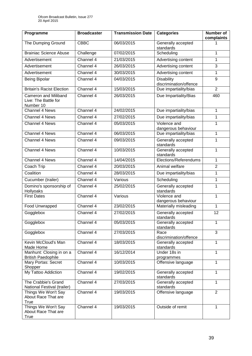| Programme                                                        | <b>Broadcaster</b> | <b>Transmission Date</b> | <b>Categories</b>                           | <b>Number of</b><br>complaints |
|------------------------------------------------------------------|--------------------|--------------------------|---------------------------------------------|--------------------------------|
| The Dumping Ground                                               | <b>CBBC</b>        | 06/03/2015               | Generally accepted<br>standards             |                                |
| <b>Brainiac Science Abuse</b>                                    | Challenge          | 07/02/2015               | Scheduling                                  | 1                              |
| Advertisement                                                    | Channel 4          | 21/03/2015               | Advertising content                         | 1                              |
| Advertisement                                                    | Channel 4          | 26/03/2015               | Advertising content                         | 3                              |
| Advertisement                                                    | Channel 4          | 30/03/2015               | Advertising content                         | 1                              |
| <b>Being Bipolar</b>                                             | Channel 4          | 04/03/2015               | <b>Disability</b><br>discrimination/offence | 9                              |
| <b>Britain's Racist Election</b>                                 | Channel 4          | 15/03/2015               | Due impartiality/bias                       | $\overline{2}$                 |
| <b>Cameron and Miliband</b><br>Live: The Battle for<br>Number 10 | Channel 4          | 26/03/2015               | Due Impartiality/Bias                       | 460                            |
| Channel 4 News                                                   | Channel 4          | 24/02/2015               | Due impartiality/bias                       | 1                              |
| <b>Channel 4 News</b>                                            | Channel 4          | 27/02/2015               | Due impartiality/bias                       | 1                              |
| Channel 4 News                                                   | Channel $4$        | 05/03/2015               | Violence and<br>dangerous behaviour         | 1                              |
| Channel 4 News                                                   | Channel 4          | 06/03/2015               | Due impartiality/bias                       | 1                              |
| Channel 4 News                                                   | Channel 4          | 09/03/2015               | Generally accepted<br>standards             | 1                              |
| Channel 4 News                                                   | Channel 4          | 10/03/2015               | Generally accepted<br>standards             | 1                              |
| <b>Channel 4 News</b>                                            | Channel 4          | 14/04/2015               | Elections/Referendums                       | 1                              |
| Coach Trip                                                       | Channel 4          | 20/03/2015               | Animal welfare                              | $\overline{2}$                 |
| Coalition                                                        | Channel 4          | 28/03/2015               | Due impartiality/bias                       | 1                              |
| Cucumber (trailer)                                               | Channel 4          | Various                  | Scheduling                                  | 1                              |
| Domino's sponsorship of<br>Hollyoaks                             | Channel 4          | 25/02/2015               | Generally accepted<br>standards             | 1                              |
| <b>First Dates</b>                                               | Channel 4          | Various                  | Violence and<br>dangerous behaviour         | 1                              |
| Food Unwrapped                                                   | Channel 4          | 23/02/2015               | Materially misleading                       | $\mathbf{1}$                   |
| Gogglebox                                                        | Channel 4          | 27/02/2015               | Generally accepted<br>standards             | 12                             |
| Gogglebox                                                        | Channel 4          | 05/03/2015               | Generally accepted<br>standards             | 1                              |
| Gogglebox                                                        | Channel 4          | 27/03/2015               | Race<br>discrimination/offence              | $\overline{3}$                 |
| Kevin McCloud's Man<br>Made Home                                 | Channel 4          | 18/03/2015               | Generally accepted<br>standards             | 1                              |
| Manhunt: Closing in on a<br><b>British Paedophile</b>            | Channel 4          | 16/12/2014               | Under 18s in<br>programmes                  | 1                              |
| Mary Portas: Secret<br>Shopper                                   | Channel 4          | 10/03/2015               | Offensive language                          | 1                              |
| My Tattoo Addiction                                              | Channel 4          | 19/02/2015               | Generally accepted<br>standards             | 1                              |
| The Crabbie's Grand<br>National Festival (trailer)               | Channel 4          | 27/03/2015               | Generally accepted<br>standards             | 1                              |
| Things We Won't Say<br>About Race That are<br>True               | Channel 4          | 19/03/2015               | Offensive language                          | $\overline{2}$                 |
| Things We Won't Say<br>About Race That are<br>True               | Channel 4          | 19/03/2015               | Outside of remit                            | 1                              |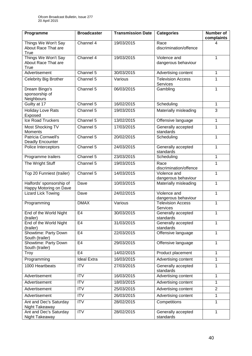| Programme                                          | <b>Broadcaster</b> | <b>Transmission Date</b> | <b>Categories</b>                    | Number of<br>complaints |
|----------------------------------------------------|--------------------|--------------------------|--------------------------------------|-------------------------|
| Things We Won't Say<br>About Race That are<br>True | Channel 4          | 19/03/2015               | Race<br>discrimination/offence       | 4                       |
| Things We Won't Say<br>About Race That are<br>True | Channel 4          | 19/03/2015               | Violence and<br>dangerous behaviour  | 1                       |
| Advertisement                                      | Channel 5          | 30/03/2015               | Advertising content                  | $\mathbf{1}$            |
| <b>Celebrity Big Brother</b>                       | Channel 5          | Various                  | <b>Television Access</b><br>Services | 1                       |
| Dream Bingo's<br>sponsorship of<br>Neighbours      | Channel 5          | 06/03/2015               | Gambling                             | $\mathbf{1}$            |
| Guilty at 17                                       | Channel 5          | 16/02/2015               | Scheduling                           | $\mathbf{1}$            |
| <b>Holiday Love Rats</b><br>Exposed                | Channel 5          | 19/03/2015               | Materially misleading                | 3                       |
| <b>Ice Road Truckers</b>                           | Channel 5          | 13/02/2015               | Offensive language                   | $\mathbf{1}$            |
| Most Shocking TV<br><b>Moments</b>                 | Channel 5          | 17/03/2015               | Generally accepted<br>standards      | 1                       |
| Patricia Cornwell's<br>Deadly Encounter            | Channel 5          | 20/02/2015               | Scheduling                           | $\mathbf{1}$            |
| Police Interceptors                                | Channel 5          | 24/03/2015               | Generally accepted<br>standards      | 1                       |
| Programme trailers                                 | Channel 5          | 23/03/2015               | Scheduling                           | 1                       |
| The Wright Stuff                                   | Channel 5          | 19/03/2015               | Race<br>discrimination/offence       | 1                       |
| Top 20 Funniest (trailer)                          | Channel 5          | 14/03/2015               | Violence and<br>dangerous behaviour  | 1                       |
| Halfords' sponsorship of<br>Happy Motoring on Dave | Dave               | 10/03/2015               | Materially misleading                | 1                       |
| <b>Lizard Lick Towing</b>                          | Dave               | 24/02/2015               | Violence and<br>dangerous behaviour  | 1                       |
| Programming                                        | <b>DMAX</b>        | Various                  | <b>Television Access</b><br>Services | 1                       |
| End of the World Night<br>(trailer)                | E <sub>4</sub>     | 30/03/2015               | Generally accepted<br>standards      | 1                       |
| End of the World Night<br>(trailer)                | E <sub>4</sub>     | 31/03/2015               | Generally accepted<br>standards      | 1                       |
| Showtime: Party Down<br>South (trailer)            | E <sub>4</sub>     | 22/03/2015               | Offensive language                   | 1                       |
| Showtime: Party Down<br>South (trailer)            | E4                 | 29/03/2015               | Offensive language                   | $\mathbf{1}$            |
| Troy                                               | E <sub>4</sub>     | 14/02/2015               | Product placement                    | 1                       |
| Programming                                        | <b>Ideal Extra</b> | 16/03/2015               | Advertising content                  | $\mathbf{1}$            |
| 1000 Heartbeats                                    | <b>ITV</b>         | 27/03/2015               | Generally accepted<br>standards      | 1                       |
| Advertisement                                      | <b>ITV</b>         | 16/03/2015               | Advertising content                  | $\mathbf{1}$            |
| Advertisement                                      | <b>ITV</b>         | 18/03/2015               | Advertising content                  | 1                       |
| Advertisement                                      | <b>ITV</b>         | 25/03/2015               | Advertising content                  | $\overline{2}$          |
| Advertisement                                      | <b>ITV</b>         | 26/03/2015               | Advertising content                  | $\mathbf{1}$            |
| Ant and Dec's Saturday<br>Night Takeaway           | <b>ITV</b>         | 28/02/2015               | Competitions                         | $\mathbf{1}$            |
| Ant and Dec's Saturday<br>Night Takeaway           | <b>ITV</b>         | 28/02/2015               | Generally accepted<br>standards      | 1                       |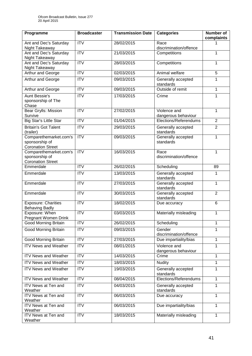| Programme                                                            | <b>Broadcaster</b>      | <b>Transmission Date</b> | <b>Categories</b>                   | <b>Number of</b><br>complaints |
|----------------------------------------------------------------------|-------------------------|--------------------------|-------------------------------------|--------------------------------|
| Ant and Dec's Saturday<br>Night Takeaway                             | <b>ITV</b>              | 28/02/2015               | Race<br>discrimination/offence      |                                |
| Ant and Dec's Saturday<br>Night Takeaway                             | <b>ITV</b>              | 21/03/2015               | Competitions                        | 1                              |
| Ant and Dec's Saturday<br>Night Takeaway                             | $\overline{\text{ITV}}$ | 28/03/2015               | Competitions                        | $\mathbf{1}$                   |
| Arthur and George                                                    | <b>ITV</b>              | 02/03/2015               | Animal welfare                      | 5                              |
| Arthur and George                                                    | <b>ITV</b>              | 09/03/2015               | Generally accepted<br>standards     | 1                              |
| Arthur and George                                                    | <b>ITV</b>              | 09/03/2015               | Outside of remit                    | $\mathbf{1}$                   |
| <b>Aunt Bessie's</b><br>sponsorship of The<br>Chase                  | <b>ITV</b>              | 17/03/2015               | Crime                               | 1                              |
| Bear Grylls: Mission<br>Survive                                      | <b>ITV</b>              | 27/02/2015               | Violence and<br>dangerous behaviour | 1                              |
| <b>Big Star's Little Star</b>                                        | $\overline{IV}$         | 01/04/2015               | Elections/Referendums               | $\overline{2}$                 |
| <b>Britain's Got Talent</b><br>(trailer)                             | <b>ITV</b>              | 29/03/2015               | Generally accepted<br>standards     | $\overline{2}$                 |
| Comparethemarket.com's<br>sponsorship of<br><b>Coronation Street</b> | $\overline{IV}$         | 09/03/2015               | Generally accepted<br>standards     | $\mathbf{1}$                   |
| Comparethemarket.com's<br>sponsorship of<br><b>Coronation Street</b> | <b>ITV</b>              | 16/03/2015               | Race<br>discrimination/offence      | 1                              |
| Emmerdale                                                            | <b>ITV</b>              | 26/02/2015               | Scheduling                          | 89                             |
| Emmerdale                                                            | <b>ITV</b>              | 13/03/2015               | Generally accepted<br>standards     | 1                              |
| Emmerdale                                                            | <b>ITV</b>              | 27/03/2015               | Generally accepted<br>standards     | 1                              |
| Emmerdale                                                            | <b>ITV</b>              | 30/03/2015               | Generally accepted<br>standards     | $\overline{2}$                 |
| <b>Exposure: Charities</b><br><b>Behaving Badly</b>                  | <b>ITV</b>              | 18/02/2015               | Due accuracy                        | 6                              |
| Exposure: When<br><b>Pregnant Women Drink</b>                        | <b>ITV</b>              | 03/03/2015               | Materially misleading               | 1                              |
| <b>Good Morning Britain</b>                                          | <b>ITV</b>              | 26/02/2015               | Scheduling                          | 1                              |
| <b>Good Morning Britain</b>                                          | <b>ITV</b>              | 09/03/2015               | Gender<br>discrimination/offence    | 1                              |
| <b>Good Morning Britain</b>                                          | $\overline{IV}$         | 27/03/2015               | Due impartiality/bias               | $\mathbf{1}$                   |
| <b>ITV News and Weather</b>                                          | <b>ITV</b>              | 08/01/2015               | Violence and<br>dangerous behaviour | $\mathbf{1}$                   |
| <b>ITV News and Weather</b>                                          | <b>ITV</b>              | 14/03/2015               | Crime                               | $\mathbf{1}$                   |
| <b>ITV News and Weather</b>                                          | <b>ITV</b>              | 18/03/2015               | Nudity                              | 1                              |
| <b>ITV News and Weather</b>                                          | <b>ITV</b>              | 19/03/2015               | Generally accepted<br>standards     | 1                              |
| <b>ITV News and Weather</b>                                          | <b>ITV</b>              | 08/04/2015               | Elections/Referendums               | $\mathbf{1}$                   |
| ITV News at Ten and<br>Weather                                       | <b>ITV</b>              | 04/03/2015               | Generally accepted<br>standards     | 1                              |
| ITV News at Ten and<br>Weather                                       | <b>ITV</b>              | 06/03/2015               | Due accuracy                        | 1                              |
| ITV News at Ten and<br>Weather                                       | $\overline{IV}$         | 06/03/2015               | Due impartiality/bias               | $\mathbf{1}$                   |
| ITV News at Ten and<br>Weather                                       | <b>ITV</b>              | 18/03/2015               | Materially misleading               | 1                              |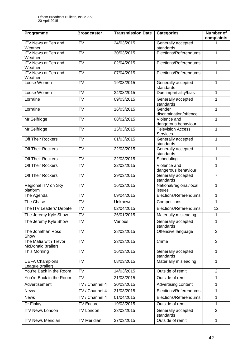| Programme                                   | <b>Broadcaster</b>      | <b>Transmission Date</b> | <b>Categories</b>                    | <b>Number of</b><br>complaints |
|---------------------------------------------|-------------------------|--------------------------|--------------------------------------|--------------------------------|
| <b>ITV News at Ten and</b><br>Weather       | <b>ITV</b>              | 24/03/2015               | Generally accepted<br>standards      |                                |
| ITV News at Ten and<br>Weather              | <b>ITV</b>              | 30/03/2015               | Elections/Referendums                | 1                              |
| <b>ITV News at Ten and</b><br>Weather       | $\overline{\text{IV}}$  | 02/04/2015               | Elections/Referendums                | $\mathbf{1}$                   |
| <b>ITV News at Ten and</b><br>Weather       | ITV                     | 07/04/2015               | Elections/Referendums                | 1                              |
| Loose Women                                 | $\overline{IV}$         | 19/03/2015               | Generally accepted<br>standards      | 1                              |
| Loose Women                                 | $\overline{\text{ITV}}$ | 24/03/2015               | Due impartiality/bias                | 1                              |
| Lorraine                                    | <b>ITV</b>              | 09/03/2015               | Generally accepted<br>standards      | 1                              |
| Lorraine                                    | $\overline{\text{ITV}}$ | 16/03/2015               | Gender<br>discrimination/offence     | $\mathbf{1}$                   |
| Mr Selfridge                                | <b>ITV</b>              | 08/02/2015               | Violence and<br>dangerous behaviour  | 1                              |
| Mr Selfridge                                | $\overline{IV}$         | 15/03/2015               | <b>Television Access</b><br>Services | 1                              |
| Off Their Rockers                           | <b>ITV</b>              | 01/03/2015               | Generally accepted<br>standards      | 1                              |
| Off Their Rockers                           | <b>ITV</b>              | 22/03/2015               | Generally accepted<br>standards      | 1                              |
| Off Their Rockers                           | <b>ITV</b>              | 22/03/2015               | Scheduling                           | 1                              |
| Off Their Rockers                           | <b>ITV</b>              | 22/03/2015               | Violence and<br>dangerous behaviour  | 1                              |
| <b>Off Their Rockers</b>                    | ITV                     | 29/03/2015               | Generally accepted<br>standards      | $\overline{7}$                 |
| Regional ITV on Sky<br>platform             | <b>ITV</b>              | 16/02/2015               | National/regional/local<br>issues    | $\mathbf{1}$                   |
| The Agenda                                  | <b>ITV</b>              | 09/04/2015               | Elections/Referendums                | 1                              |
| The Chase                                   | <b>ITV</b>              | Unknown                  | Competitions                         | $\mathbf{1}$                   |
| The ITV Leaders' Debate                     | ITV                     | 02/04/2015               | Elections/Referendums                | 12                             |
| The Jeremy Kyle Show                        | ITV                     | 26/01/2015               | Materially misleading                | 1                              |
| The Jeremy Kyle Show                        | <b>ITV</b>              | Various                  | Generally accepted<br>standards      | 1                              |
| The Jonathan Ross<br>Show                   | <b>ITV</b>              | 28/03/2015               | Offensive language                   | 3                              |
| The Mafia with Trevor<br>McDonald (trailer) | <b>ITV</b>              | 23/03/2015               | Crime                                | 3                              |
| This Morning                                | <b>ITV</b>              | 16/03/2015               | Generally accepted<br>standards      | 1                              |
| <b>UEFA Champions</b><br>League (trailer)   | <b>ITV</b>              | 08/03/2015               | Materially misleading                | $\mathbf{1}$                   |
| You're Back in the Room                     | <b>ITV</b>              | 14/03/2015               | Outside of remit                     | $\overline{2}$                 |
| You're Back in the Room                     | <b>ITV</b>              | 21/03/2015               | Outside of remit                     | 1                              |
| Advertisement                               | ITV / Channel 4         | 30/03/2015               | Advertising content                  | 1                              |
| <b>News</b>                                 | <b>ITV</b> / Channel 4  | 31/03/2015               | Elections/Referendums                | $\mathbf{1}$                   |
| <b>News</b>                                 | ITV / Channel 4         | 01/04/2015               | Elections/Referendums                | 1                              |
| Dr Finlay                                   | <b>ITV</b> Encore       | 19/03/2015               | Outside of remit                     | 1                              |
| <b>ITV News London</b>                      | <b>ITV London</b>       | 23/03/2015               | Generally accepted<br>standards      | $\overline{2}$                 |
| <b>ITV News Meridian</b>                    | <b>ITV Meridian</b>     | 27/03/2015               | Outside of remit                     | $\mathbf{1}$                   |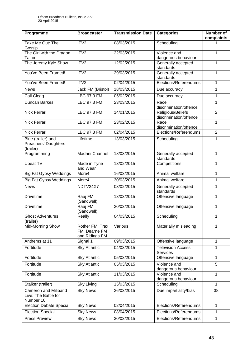| Programme                                                        | <b>Broadcaster</b>                                 | <b>Transmission Date</b> | <b>Categories</b>                           | <b>Number of</b><br>complaints |
|------------------------------------------------------------------|----------------------------------------------------|--------------------------|---------------------------------------------|--------------------------------|
| Take Me Out: The<br>Gossip                                       | ITV2                                               | 08/03/2015               | Scheduling                                  |                                |
| The Girl with the Dragon<br>Tattoo                               | ITV2                                               | 22/03/2015               | Violence and<br>dangerous behaviour         | 1                              |
| The Jeremy Kyle Show                                             | ITV2                                               | 12/02/2015               | Generally accepted<br>standards             | 1                              |
| You've Been Framed!                                              | ITV2                                               | 29/03/2015               | Generally accepted<br>standards             | 1                              |
| You've Been Framed!                                              | ITV2                                               | 02/04/2015               | Elections/Referendums                       | 1                              |
| <b>News</b>                                                      | Jack FM (Bristol)                                  | 18/03/2015               | Due accuracy                                | 1                              |
| Call Clegg                                                       | <b>LBC 97.3 FM</b>                                 | 05/02/2015               | Due accuracy                                | $\mathbf{1}$                   |
| <b>Duncan Barkes</b>                                             | LBC 97.3 FM                                        | 23/03/2015               | Race<br>discrimination/offence              | 1                              |
| <b>Nick Ferrari</b>                                              | <b>LBC 97.3 FM</b>                                 | 14/01/2015               | Religious/Beliefs<br>discrimination/offence | $\overline{2}$                 |
| Nick Ferrari                                                     | <b>LBC 97.3 FM</b>                                 | 23/02/2015               | Race<br>discrimination/offence              | 1                              |
| Nick Ferrari                                                     | LBC 97.3 FM                                        | 02/04/2015               | Elections/Referendums                       | $\overline{2}$                 |
| Blue (trailer) and<br>Preachers' Daughters<br>(trailer)          | Lifetime                                           | 13/03/2015               | Scheduling                                  | 1                              |
| Programming                                                      | Madani Channel                                     | 18/03/2015               | Generally accepted<br>standards             | $\mathbf{1}$                   |
| <b>Ubeat TV</b>                                                  | Made in Tyne<br>and Wear                           | 13/02/2015               | Competitions                                | 1                              |
| <b>Big Fat Gypsy Weddings</b>                                    | More4                                              | 16/03/2015               | Animal welfare                              | 1                              |
| <b>Big Fat Gypsy Weddings</b>                                    | More4                                              | 30/03/2015               | Animal welfare                              | 1                              |
| <b>News</b>                                                      | NDTV24X7                                           | 03/02/2015               | Generally accepted<br>standards             | 1                              |
| <b>Drivetime</b>                                                 | Raaj FM<br>(Sandwell)                              | 13/03/2015               | Offensive language                          | 1                              |
| <b>Drivetime</b>                                                 | Raaj FM<br>(Sandwell)                              | 20/03/2015               | Offensive language                          | 1                              |
| <b>Ghost Adventures</b><br>(trailer)                             | Really                                             | 04/03/2015               | Scheduling                                  | $\mathbf{1}$                   |
| Mid-Morning Show                                                 | Rother FM, Trax<br>FM, Dearne FM<br>and Ridings FM | Various                  | Materially misleading                       | 1                              |
| Anthems at 11                                                    | Signal 1                                           | 09/03/2015               | Offensive language                          | 1                              |
| Fortitude                                                        | <b>Sky Atlantic</b>                                | 04/03/2015               | <b>Television Access</b><br><b>Services</b> | 1                              |
| Fortitude                                                        | <b>Sky Atlantic</b>                                | 05/03/2015               | Offensive language                          | 1                              |
| Fortitude                                                        | <b>Sky Atlantic</b>                                | 05/03/2015               | Violence and<br>dangerous behaviour         | 5                              |
| Fortitude                                                        | <b>Sky Atlantic</b>                                | 11/03/2015               | Violence and<br>dangerous behaviour         | 1                              |
| Stalker (trailer)                                                | <b>Sky Living</b>                                  | 15/03/2015               | Scheduling                                  | 1                              |
| <b>Cameron and Miliband</b><br>Live: The Battle for<br>Number 10 | <b>Sky News</b>                                    | 26/03/2015               | Due impartiality/bias                       | 38                             |
| <b>Election Debate Special</b>                                   | <b>Sky News</b>                                    | 02/04/2015               | Elections/Referendums                       | $\mathbf{1}$                   |
| <b>Election Special</b>                                          | <b>Sky News</b>                                    | 08/04/2015               | Elections/Referendums                       | 1                              |
| <b>Press Preview</b>                                             | <b>Sky News</b>                                    | 30/03/2015               | Elections/Referendums                       | 1                              |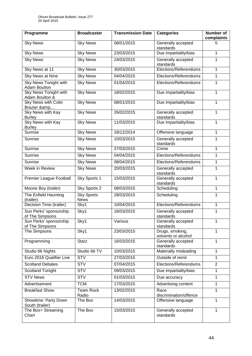| Programme                                      | <b>Broadcaster</b>               | <b>Transmission Date</b> | <b>Categories</b>                      | <b>Number of</b><br>complaints |
|------------------------------------------------|----------------------------------|--------------------------|----------------------------------------|--------------------------------|
| <b>Sky News</b>                                | <b>Sky News</b>                  | 08/01/2015               | Generally accepted<br>standards        | 5                              |
| Sky News                                       | Sky News                         | 23/03/2015               | Due impartiality/bias                  | 1                              |
| <b>Sky News</b>                                | <b>Sky News</b>                  | 24/03/2015               | Generally accepted<br>standards        | 1                              |
| Sky News at 11                                 | <b>Sky News</b>                  | 30/03/2015               | Elections/Referendums                  | 1                              |
| Sky News at Nine                               | <b>Sky News</b>                  | 04/04/2015               | Elections/Referendums                  | 1                              |
| Sky News Tonight with<br><b>Adam Boulton</b>   | <b>Sky News</b>                  | 01/04/2015               | Elections/Referendums                  | 1                              |
| <b>Sky News Tonight with</b><br>Adam Boulton & | <b>Sky News</b>                  | 18/02/2015               | Due impartiality/bias                  | 1                              |
| <b>Sky News with Colin</b><br>Brazier &        | <b>Sky News</b>                  | 08/01/2015               | Due impartiality/bias                  | 1                              |
| <b>Sky News with Kay</b><br><b>Burley</b>      | <b>Sky News</b>                  | 26/02/2015               | Generally accepted<br>standards        | 1                              |
| <b>Sky News with Kay</b><br><b>Burley</b>      | <b>Sky News</b>                  | 11/03/2015               | Due impartiality/bias                  | 1                              |
| Sunrise                                        | <b>Sky News</b>                  | 18/12/2014               | Offensive language                     | 1                              |
| Sunrise                                        | <b>Sky News</b>                  | 10/03/2015               | Generally accepted<br>standards        | 1                              |
| Sunrise                                        | <b>Sky News</b>                  | 27/03/2015               | Crime                                  | 1                              |
| Sunrise                                        | <b>Sky News</b>                  | 04/04/2015               | Elections/Referendums                  | 1                              |
| Sunrise                                        | <b>Sky News</b>                  | 08/04/2015               | Elections/Referendums                  | 1                              |
| Week in Review                                 | <b>Sky News</b>                  | 20/03/2015               | Generally accepted<br>standards        | 1                              |
| Premier League Football                        | Sky Sports 1                     | 15/03/2015               | Generally accepted<br>standards        | 1                              |
| Moone Boy (trailer)                            | Sky Sports 2                     | 08/03/2015               | Scheduling                             | 1                              |
| The Enfield Haunting<br>(trailer)              | <b>Sky Sports</b><br><b>News</b> | 28/03/2015               | Scheduling                             | 1                              |
| Decision Time (trailer)                        | Sky1                             | 10/04/2015               | Elections/Referendums                  | 1                              |
| Sun Perks' sponsorship<br>of The Simpsons      | Sky1                             | 16/03/2015               | Generally accepted<br>standards        | 1                              |
| Sun Perks' sponsorship<br>of The Simpsons      | Sky1                             | Various                  | Generally accepted<br>standards        | 1                              |
| The Simpsons                                   | Sky1                             | 23/03/2015               | Drugs, smoking,<br>solvents or alcohol | 1                              |
| Programming                                    | <b>Starz</b>                     | 16/03/2015               | Generally accepted<br>standards        | 1                              |
| Studio 66 Nights                               | Studio 66 TV                     | 10/03/2015               | Materially misleading                  | 1                              |
| Euro 2016 Qualifier Live                       | <b>STV</b>                       | 27/03/2015               | Outside of remit                       | 1                              |
| <b>Scotland Debates</b>                        | <b>STV</b>                       | 07/04/2015               | Elections/Referendums                  | $\overline{2}$                 |
| Scotland Tonight                               | <b>STV</b>                       | 09/03/2015               | Due impartiality/bias                  | 1                              |
| <b>STV News</b>                                | <b>STV</b>                       | 01/03/2015               | Due accuracy                           | 1                              |
| Advertisement                                  | <b>TCM</b>                       | 17/03/2015               | Advertising content                    | 1                              |
| <b>Breakfast Show</b>                          | <b>Team Rock</b><br>Radio        | 13/02/2015               | Race<br>discrimination/offence         | 1                              |
| Showtime: Party Down<br>South (trailer)        | The Box                          | 14/03/2015               | Offensive language                     | 1                              |
| The Box+ Streaming<br>Chart                    | The Box                          | 15/03/2015               | Generally accepted<br>standards        | 1                              |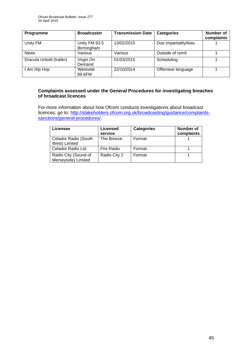| <b>Programme</b>         | <b>Broadcaster</b>          | <b>Transmission Date</b> | <b>Categories</b>     | <b>Number of</b><br>complaints |
|--------------------------|-----------------------------|--------------------------|-----------------------|--------------------------------|
| Unity FM                 | Unity FM 93.5<br>Birmingham | 13/02/2015               | Due impartiality/bias |                                |
| <b>News</b>              | Various                     | Various                  | Outside of remit      |                                |
| Dracula Untold (trailer) | Virgin On<br>Demand         | 01/03/2015               | Scheduling            |                                |
| I Am Hip Hop             | Westside<br>89.6FM          | 22/10/2014               | Offensive language    |                                |

### **Complaints assessed under the General Procedures for investigating breaches of broadcast licences**

For more information about how Ofcom conducts investigations about broadcast licences, go to: [http://stakeholders.ofcom.org.uk/broadcasting/guidance/complaints](http://stakeholders.ofcom.org.uk/broadcasting/guidance/complaints-sanctions/general-procedures/)[sanctions/general-procedures/.](http://stakeholders.ofcom.org.uk/broadcasting/guidance/complaints-sanctions/general-procedures/)

| Licensee                                    | <b>Licensed</b><br>service | <b>Categories</b> | Number of<br>complaints |
|---------------------------------------------|----------------------------|-------------------|-------------------------|
| Celador Radio (South<br>West) Limited       | The Breeze                 | Format            |                         |
| Celador Radio Ltd                           | Fire Radio                 | Format            |                         |
| Radio City (Sound of<br>Merseyside) Limited | Radio City 2               | Format            |                         |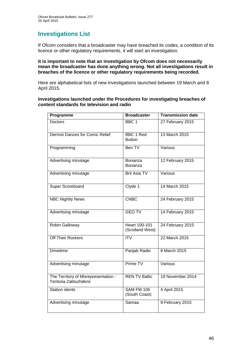# **Investigations List**

If Ofcom considers that a broadcaster may have breached its codes, a condition of its licence or other regulatory requirements, it will start an investigation.

#### **It is important to note that an investigation by Ofcom does not necessarily mean the broadcaster has done anything wrong. Not all investigations result in breaches of the licence or other regulatory requirements being recorded.**

Here are alphabetical lists of new investigations launched between 19 March and 8 April 2015.

**Investigations launched under the Procedures for investigating breaches of content standards for television and radio**

| Programme                                                      | <b>Broadcaster</b>                      | <b>Transmission date</b> |
|----------------------------------------------------------------|-----------------------------------------|--------------------------|
| <b>Doctors</b>                                                 | BBC <sub>1</sub>                        | 27 February 2015         |
| Dermot Dances for Comic Relief                                 | <b>BBC 1 Red</b><br><b>Button</b>       | 13 March 2015            |
| Programming                                                    | Ben TV                                  | Various                  |
| Advertising minutage                                           | Bonanza<br>Bonanza                      | 12 February 2015         |
| Advertising minutage                                           | <b>Brit Asia TV</b>                     | Various                  |
| Super Scoreboard                                               | Clyde 1                                 | 14 March 2015            |
| <b>NBC Nightly News</b>                                        | <b>CNBC</b>                             | 24 February 2015         |
| Advertising minutage                                           | <b>GEO TV</b>                           | 14 February 2015         |
| Robin Galloway                                                 | <b>Heart 100-101</b><br>(Scotland West) | 24 February 2015         |
| Off Their Rockers                                              | $\overline{\text{ITV}}$                 | 22 March 2015            |
| <b>Drivetime</b>                                               | Panjab Radio                            | 6 March 2015             |
| Advertising minutage                                           | Prime TV                                | Various                  |
| The Territory of Misrepresentation -<br>Teritoria Zabluzhdenii | <b>REN TV Baltic</b>                    | 19 November 2014         |
| <b>Station idents</b>                                          | SAM FM 106<br>(South Coast)             | 4 April 2015             |
| Advertising minutage                                           | Samaa                                   | 9 February 2015          |